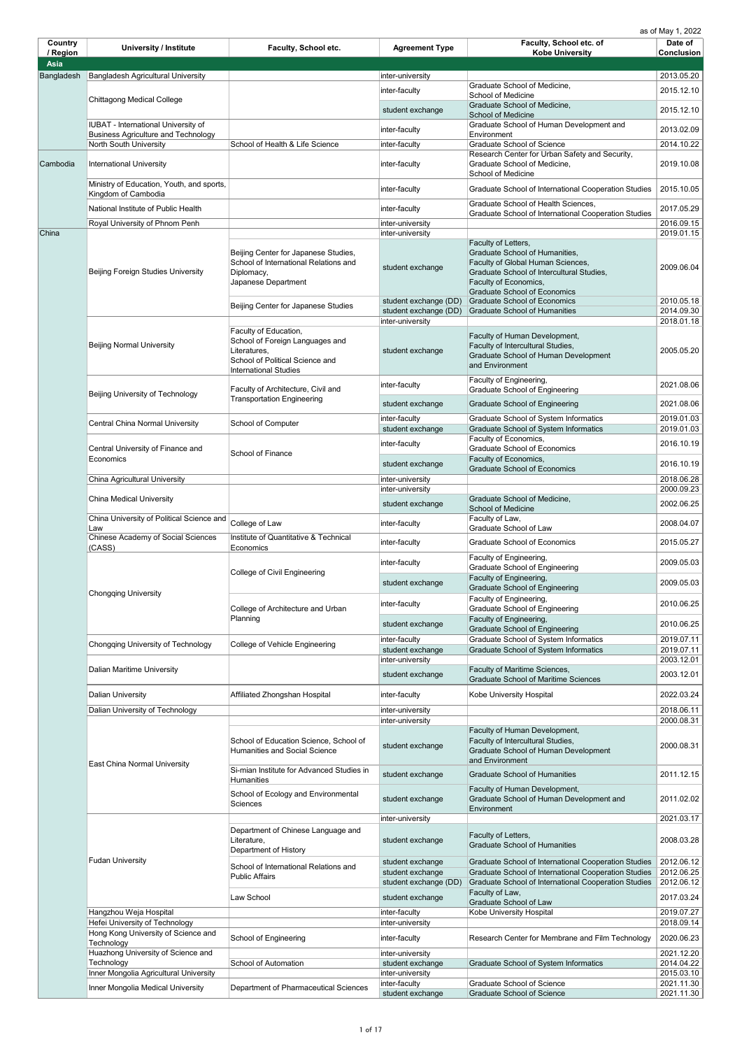| Country                 | <b>University / Institute</b>                                               | Faculty, School etc.                                                                                                                        | <b>Agreement Type</b>                                              | Faculty, School etc. of                                                                                                                                                                                 | Date of                                |
|-------------------------|-----------------------------------------------------------------------------|---------------------------------------------------------------------------------------------------------------------------------------------|--------------------------------------------------------------------|---------------------------------------------------------------------------------------------------------------------------------------------------------------------------------------------------------|----------------------------------------|
| / Region<br><b>Asia</b> |                                                                             |                                                                                                                                             |                                                                    | <b>Kobe University</b>                                                                                                                                                                                  | <b>Conclusion</b>                      |
| Bangladesh              | <b>Bangladesh Agricultural University</b>                                   |                                                                                                                                             | inter-university                                                   |                                                                                                                                                                                                         | 2013.05.20                             |
|                         |                                                                             |                                                                                                                                             | inter-faculty                                                      | Graduate School of Medicine,                                                                                                                                                                            | 2015.12.10                             |
|                         | Chittagong Medical College                                                  |                                                                                                                                             | student exchange                                                   | <b>School of Medicine</b><br>Graduate School of Medicine,<br><b>School of Medicine</b>                                                                                                                  | 2015.12.10                             |
|                         | <b>IUBAT</b> - International University of                                  |                                                                                                                                             | inter-faculty                                                      | Graduate School of Human Development and                                                                                                                                                                | 2013.02.09                             |
|                         | <b>Business Agriculture and Technology</b><br><b>North South University</b> | School of Health & Life Science                                                                                                             | inter-faculty                                                      | Environment<br><b>Graduate School of Science</b>                                                                                                                                                        | 2014.10.22                             |
| Cambodia                | <b>International University</b>                                             |                                                                                                                                             | inter-faculty                                                      | Research Center for Urban Safety and Security,<br>Graduate School of Medicine,<br><b>School of Medicine</b>                                                                                             | 2019.10.08                             |
|                         | Ministry of Education, Youth, and sports,<br>Kingdom of Cambodia            |                                                                                                                                             | inter-faculty                                                      | Graduate School of International Cooperation Studies                                                                                                                                                    | 2015.10.05                             |
|                         | National Institute of Public Health                                         |                                                                                                                                             | inter-faculty                                                      | Graduate School of Health Sciences,                                                                                                                                                                     | 2017.05.29                             |
|                         | Royal University of Phnom Penh                                              |                                                                                                                                             | inter-university                                                   | Graduate School of International Cooperation Studies                                                                                                                                                    | 2016.09.15                             |
| China                   | Beijing Foreign Studies University                                          | Beijing Center for Japanese Studies,<br>School of International Relations and<br>Diplomacy,<br>Japanese Department                          | inter-university<br>student exchange                               | Faculty of Letters,<br>Graduate School of Humanities,<br>Faculty of Global Human Sciences,<br>Graduate School of Intercultural Studies,<br>Faculty of Economics,<br><b>Graduate School of Economics</b> | 2019.01.15<br>2009.06.04               |
|                         |                                                                             | Beijing Center for Japanese Studies                                                                                                         | student exchange (DD)<br>student exchange (DD)<br>inter-university | <b>Graduate School of Economics</b><br><b>Graduate School of Humanities</b>                                                                                                                             | 2010.05.18<br>2014.09.30<br>2018.01.18 |
|                         | <b>Beijing Normal University</b>                                            | Faculty of Education,<br>School of Foreign Languages and<br>Literatures,<br>School of Political Science and<br><b>International Studies</b> | student exchange                                                   | Faculty of Human Development,<br>Faculty of Intercultural Studies,<br><b>Graduate School of Human Development</b><br>and Environment                                                                    | 2005.05.20                             |
|                         | Beijing University of Technology                                            | Faculty of Architecture, Civil and                                                                                                          | inter-faculty                                                      | Faculty of Engineering,<br><b>Graduate School of Engineering</b>                                                                                                                                        | 2021.08.06                             |
|                         |                                                                             | <b>Transportation Engineering</b>                                                                                                           | student exchange                                                   | <b>Graduate School of Engineering</b>                                                                                                                                                                   | 2021.08.06                             |
|                         | <b>Central China Normal University</b>                                      | <b>School of Computer</b>                                                                                                                   | inter-faculty                                                      | <b>Graduate School of System Informatics</b>                                                                                                                                                            | 2019.01.03                             |
|                         |                                                                             |                                                                                                                                             | student exchange                                                   | <b>Graduate School of System Informatics</b><br>Faculty of Economics,                                                                                                                                   | 2019.01.03                             |
|                         | Central University of Finance and<br>Economics                              | <b>School of Finance</b>                                                                                                                    | inter-faculty<br>student exchange                                  | <b>Graduate School of Economics</b><br>Faculty of Economics,                                                                                                                                            | 2016.10.19<br>2016.10.19               |
|                         |                                                                             |                                                                                                                                             |                                                                    | <b>Graduate School of Economics</b>                                                                                                                                                                     |                                        |
|                         | China Agricultural University                                               |                                                                                                                                             | inter-university<br>inter-university                               |                                                                                                                                                                                                         | 2018.06.28<br>2000.09.23               |
|                         | <b>China Medical University</b>                                             |                                                                                                                                             | student exchange                                                   | Graduate School of Medicine,<br><b>School of Medicine</b>                                                                                                                                               | 2002.06.25                             |
|                         | China University of Political Science and<br>Law                            | College of Law                                                                                                                              | inter-faculty                                                      | Faculty of Law,<br><b>Graduate School of Law</b>                                                                                                                                                        | 2008.04.07                             |
|                         | <b>Chinese Academy of Social Sciences</b><br>(CASS)                         | Institute of Quantitative & Technical<br>Economics                                                                                          | inter-faculty                                                      | <b>Graduate School of Economics</b>                                                                                                                                                                     | 2015.05.27                             |
|                         | <b>Chongqing University</b>                                                 | College of Civil Engineering                                                                                                                | inter-faculty                                                      | Faculty of Engineering,<br><b>Graduate School of Engineering</b>                                                                                                                                        | 2009.05.03                             |
|                         |                                                                             |                                                                                                                                             | student exchange                                                   | Faculty of Engineering,<br><b>Graduate School of Engineering</b>                                                                                                                                        | 2009.05.03                             |
|                         |                                                                             | College of Architecture and Urban<br>Planning                                                                                               | inter-faculty                                                      | Faculty of Engineering,<br><b>Graduate School of Engineering</b><br>Faculty of Engineering,                                                                                                             | 2010.06.25                             |
|                         |                                                                             |                                                                                                                                             | student exchange                                                   | <b>Graduate School of Engineering</b>                                                                                                                                                                   | 2010.06.25                             |
|                         | <b>Chongqing University of Technology</b>                                   | College of Vehicle Engineering                                                                                                              | inter-faculty                                                      | <b>Graduate School of System Informatics</b>                                                                                                                                                            | 2019.07.11                             |
|                         |                                                                             |                                                                                                                                             | student exchange<br>inter-university                               | <b>Graduate School of System Informatics</b>                                                                                                                                                            | 2019.07.11<br>2003.12.01               |
|                         | <b>Dalian Maritime University</b>                                           |                                                                                                                                             | student exchange                                                   | <b>Faculty of Maritime Sciences,</b><br><b>Graduate School of Maritime Sciences</b>                                                                                                                     | 2003.12.01                             |
|                         | <b>Dalian University</b>                                                    | Affiliated Zhongshan Hospital                                                                                                               | inter-faculty                                                      | <b>Kobe University Hospital</b>                                                                                                                                                                         | 2022.03.24                             |
|                         | Dalian University of Technology                                             |                                                                                                                                             | inter-university<br>inter-university                               |                                                                                                                                                                                                         | 2018.06.11<br>2000.08.31               |
|                         |                                                                             | School of Education Science, School of<br><b>Humanities and Social Science</b>                                                              | student exchange                                                   | Faculty of Human Development,<br>Faculty of Intercultural Studies,<br><b>Graduate School of Human Development</b><br>and Environment                                                                    | 2000.08.31                             |
|                         | <b>East China Normal University</b>                                         | Si-mian Institute for Advanced Studies in<br><b>Humanities</b>                                                                              | student exchange                                                   | <b>Graduate School of Humanities</b>                                                                                                                                                                    | 2011.12.15                             |
|                         |                                                                             | School of Ecology and Environmental<br>Sciences                                                                                             | student exchange                                                   | Faculty of Human Development,<br>Graduate School of Human Development and<br>Environment                                                                                                                | 2011.02.02                             |
|                         |                                                                             |                                                                                                                                             | inter-university                                                   |                                                                                                                                                                                                         | 2021.03.17                             |
|                         |                                                                             | Department of Chinese Language and<br>Literature,<br>Department of History                                                                  | student exchange                                                   | Faculty of Letters,<br><b>Graduate School of Humanities</b>                                                                                                                                             | 2008.03.28                             |
|                         | <b>Fudan University</b>                                                     | School of International Relations and<br><b>Public Affairs</b>                                                                              | student exchange<br>student exchange<br>student exchange (DD)      | Graduate School of International Cooperation Studies<br>Graduate School of International Cooperation Studies<br>Graduate School of International Cooperation Studies                                    | 2012.06.12<br>2012.06.25<br>2012.06.12 |
|                         |                                                                             | Law School                                                                                                                                  | student exchange                                                   | Faculty of Law,                                                                                                                                                                                         | 2017.03.24                             |
|                         | Hangzhou Weja Hospital                                                      |                                                                                                                                             | inter-faculty                                                      | <b>Graduate School of Law</b><br>Kobe University Hospital                                                                                                                                               | 2019.07.27                             |
|                         | Hefei University of Technology                                              |                                                                                                                                             | inter-university                                                   |                                                                                                                                                                                                         | 2018.09.14                             |
|                         | Hong Kong University of Science and<br>Technology                           | <b>School of Engineering</b>                                                                                                                | inter-faculty                                                      | Research Center for Membrane and Film Technology                                                                                                                                                        | 2020.06.23                             |
|                         | Huazhong University of Science and<br>Technology                            | <b>School of Automation</b>                                                                                                                 | inter-university<br>student exchange                               | <b>Graduate School of System Informatics</b>                                                                                                                                                            | 2021.12.20<br>2014.04.22               |
|                         | Inner Mongolia Agricultural University                                      |                                                                                                                                             | inter-university<br>inter-faculty                                  | <b>Graduate School of Science</b>                                                                                                                                                                       | 2015.03.10<br>2021.11.30               |
|                         | Inner Mongolia Medical University                                           | <b>Department of Pharmaceutical Sciences</b>                                                                                                | student exchange                                                   | <b>Graduate School of Science</b>                                                                                                                                                                       | 2021.11.30                             |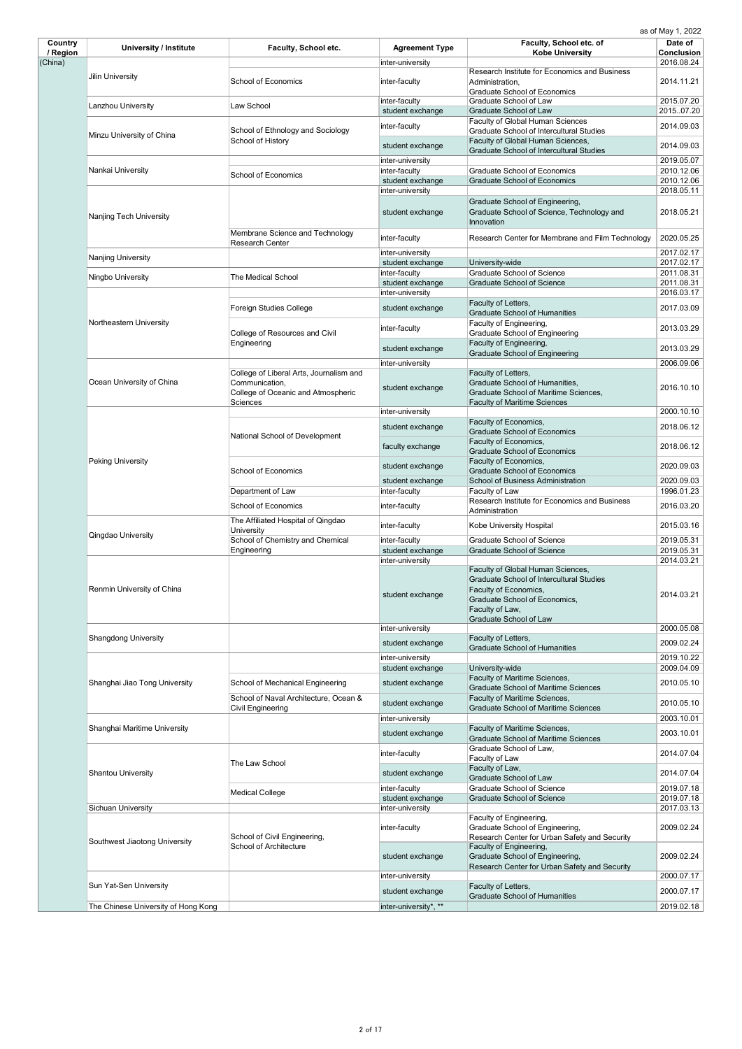| Country<br>/ Region | <b>University / Institute</b>       | Faculty, School etc.                                              | <b>Agreement Type</b>             | Faculty, School etc. of<br><b>Kobe University</b>                                                             | Date of $\vert$<br><b>Conclusion</b> |
|---------------------|-------------------------------------|-------------------------------------------------------------------|-----------------------------------|---------------------------------------------------------------------------------------------------------------|--------------------------------------|
| (China)             |                                     |                                                                   | inter-university                  | Research Institute for Economics and Business                                                                 | 2016.08.24                           |
|                     | <b>Jilin University</b>             | <b>School of Economics</b>                                        | inter-faculty                     | Administration,<br><b>Graduate School of Economics</b>                                                        | 2014.11.21                           |
|                     | Lanzhou University                  | Law School                                                        | inter-faculty                     | <b>Graduate School of Law</b>                                                                                 | 2015.07.20                           |
|                     |                                     |                                                                   | student exchange                  | <b>Graduate School of Law</b><br><b>Faculty of Global Human Sciences</b>                                      | 201507.20                            |
|                     | Minzu University of China           | School of Ethnology and Sociology                                 | inter-faculty                     | <b>Graduate School of Intercultural Studies</b>                                                               | 2014.09.03                           |
|                     |                                     | School of History                                                 | student exchange                  | Faculty of Global Human Sciences,<br><b>Graduate School of Intercultural Studies</b>                          | 2014.09.03                           |
|                     |                                     |                                                                   | inter-university                  | <b>Graduate School of Economics</b>                                                                           | 2019.05.07<br>2010.12.06             |
|                     | Nankai University                   | <b>School of Economics</b>                                        | inter-faculty<br>student exchange | <b>Graduate School of Economics</b>                                                                           | 2010.12.06                           |
|                     |                                     |                                                                   | inter-university                  |                                                                                                               | 2018.05.11                           |
|                     | <b>Nanjing Tech University</b>      |                                                                   | student exchange                  | Graduate School of Engineering,<br>Graduate School of Science, Technology and<br>Innovation                   | 2018.05.21                           |
|                     |                                     | Membrane Science and Technology<br><b>Research Center</b>         | inter-faculty                     | Research Center for Membrane and Film Technology                                                              | 2020.05.25                           |
|                     | <b>Nanjing University</b>           |                                                                   | inter-university                  |                                                                                                               | 2017.02.17                           |
|                     |                                     |                                                                   | student exchange                  | University-wide                                                                                               | 2017.02.17                           |
|                     | Ningbo University                   | <b>The Medical School</b>                                         | inter-faculty<br>student exchange | <b>Graduate School of Science</b><br><b>Graduate School of Science</b>                                        | 2011.08.31<br>2011.08.31             |
|                     |                                     |                                                                   | inter-university                  |                                                                                                               | 2016.03.17                           |
|                     |                                     | <b>Foreign Studies College</b>                                    | student exchange                  | Faculty of Letters,                                                                                           | 2017.03.09                           |
|                     | Northeastern University             |                                                                   |                                   | <b>Graduate School of Humanities</b><br>Faculty of Engineering,                                               |                                      |
|                     |                                     | College of Resources and Civil                                    | inter-faculty                     | <b>Graduate School of Engineering</b>                                                                         | 2013.03.29                           |
|                     |                                     | Engineering                                                       | student exchange                  | Faculty of Engineering,                                                                                       | 2013.03.29                           |
|                     |                                     |                                                                   |                                   | <b>Graduate School of Engineering</b>                                                                         |                                      |
|                     |                                     | College of Liberal Arts, Journalism and                           | inter-university                  | Faculty of Letters,                                                                                           | 2006.09.06                           |
|                     | Ocean University of China           | Communication,                                                    |                                   | Graduate School of Humanities,                                                                                |                                      |
|                     |                                     | College of Oceanic and Atmospheric<br><b>Sciences</b>             | student exchange                  | <b>Graduate School of Maritime Sciences,</b><br><b>Faculty of Maritime Sciences</b>                           | 2016.10.10                           |
|                     |                                     |                                                                   | inter-university                  |                                                                                                               | 2000.10.10                           |
|                     |                                     |                                                                   | student exchange                  | Faculty of Economics,                                                                                         | 2018.06.12                           |
|                     |                                     | National School of Development                                    | faculty exchange                  | <b>Graduate School of Economics</b><br>Faculty of Economics,                                                  | 2018.06.12                           |
|                     | <b>Peking University</b>            |                                                                   |                                   | <b>Graduate School of Economics</b><br>Faculty of Economics,                                                  |                                      |
|                     |                                     | <b>School of Economics</b>                                        | student exchange                  | <b>Graduate School of Economics</b>                                                                           | 2020.09.03                           |
|                     |                                     |                                                                   | student exchange                  | <b>School of Business Administration</b>                                                                      | 2020.09.03                           |
|                     |                                     | Department of Law                                                 | inter-faculty                     | Faculty of Law<br>Research Institute for Economics and Business                                               | 1996.01.23                           |
|                     |                                     | <b>School of Economics</b>                                        | inter-faculty                     | Administration                                                                                                | 2016.03.20                           |
|                     |                                     | The Affiliated Hospital of Qingdao<br><b>University</b>           | inter-faculty                     | <b>Kobe University Hospital</b>                                                                               | 2015.03.16                           |
|                     | <b>Qingdao University</b>           | School of Chemistry and Chemical                                  | inter-faculty                     | <b>Graduate School of Science</b>                                                                             | 2019.05.31                           |
|                     |                                     | Engineering                                                       | student exchange                  | <b>Graduate School of Science</b>                                                                             | 2019.05.31<br>2014.03.21             |
|                     | Renmin University of China          |                                                                   | inter-university                  | Faculty of Global Human Sciences,<br><b>Graduate School of Intercultural Studies</b><br>Faculty of Economics, |                                      |
|                     |                                     |                                                                   | student exchange                  | Graduate School of Economics,<br>Faculty of Law,<br><b>Graduate School of Law</b>                             | 2014.03.21                           |
|                     |                                     |                                                                   | inter-university                  |                                                                                                               | 2000.05.08                           |
|                     | <b>Shangdong University</b>         |                                                                   | student exchange                  | Faculty of Letters,<br><b>Graduate School of Humanities</b>                                                   | 2009.02.24                           |
|                     |                                     |                                                                   | inter-university                  |                                                                                                               | 2019.10.22                           |
|                     |                                     |                                                                   | student exchange                  | University-wide                                                                                               | 2009.04.09                           |
|                     | Shanghai Jiao Tong University       | <b>School of Mechanical Engineering</b>                           | student exchange                  | Faculty of Maritime Sciences,<br><b>Graduate School of Maritime Sciences</b>                                  | 2010.05.10                           |
|                     |                                     | School of Naval Architecture, Ocean &<br><b>Civil Engineering</b> | student exchange                  | Faculty of Maritime Sciences,<br><b>Graduate School of Maritime Sciences</b>                                  | 2010.05.10                           |
|                     |                                     |                                                                   | inter-university                  |                                                                                                               | 2003.10.01                           |
|                     | Shanghai Maritime University        |                                                                   | student exchange                  | Faculty of Maritime Sciences,                                                                                 | 2003.10.01                           |
|                     |                                     |                                                                   | inter-faculty                     | <b>Graduate School of Maritime Sciences</b><br>Graduate School of Law,                                        | 2014.07.04                           |
|                     |                                     | The Law School                                                    |                                   | Faculty of Law                                                                                                |                                      |
|                     | <b>Shantou University</b>           |                                                                   | student exchange                  | Faculty of Law,<br><b>Graduate School of Law</b>                                                              | 2014.07.04                           |
|                     |                                     | <b>Medical College</b>                                            | inter-faculty                     | <b>Graduate School of Science</b>                                                                             | 2019.07.18                           |
|                     |                                     |                                                                   | student exchange                  | <b>Graduate School of Science</b>                                                                             | 2019.07.18                           |
|                     | <b>Sichuan University</b>           |                                                                   | inter-university                  | Faculty of Engineering,                                                                                       | 2017.03.13                           |
|                     |                                     | School of Civil Engineering,                                      | inter-faculty                     | Graduate School of Engineering,<br>Research Center for Urban Safety and Security                              | 2009.02.24                           |
|                     | Southwest Jiaotong University       | <b>School of Architecture</b>                                     | student exchange                  | Faculty of Engineering,<br>Graduate School of Engineering,<br>Research Center for Urban Safety and Security   | 2009.02.24                           |
|                     | Sun Yat-Sen University              |                                                                   | inter-university                  | Faculty of Letters,                                                                                           | 2000.07.17                           |
|                     |                                     |                                                                   | student exchange                  | <b>Graduate School of Humanities</b>                                                                          | 2000.07.17                           |
|                     | The Chinese University of Hong Kong |                                                                   | inter-university*, **             |                                                                                                               | 2019.02.18                           |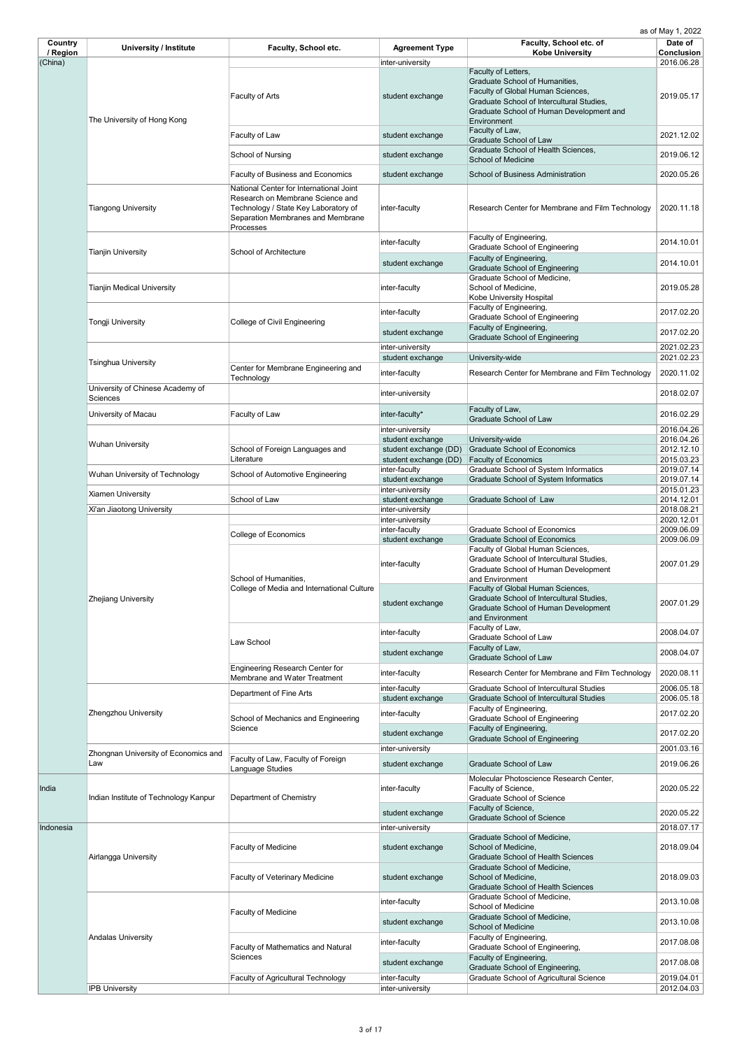| Country             | <b>University / Institute</b>                | <b>Faculty, School etc.</b>                                                                                                                                           | <b>Agreement Type</b>                     | Faculty, School etc. of                                                                                                                                                                                   | Date of                         |
|---------------------|----------------------------------------------|-----------------------------------------------------------------------------------------------------------------------------------------------------------------------|-------------------------------------------|-----------------------------------------------------------------------------------------------------------------------------------------------------------------------------------------------------------|---------------------------------|
| / Region<br>(China) |                                              |                                                                                                                                                                       | inter-university                          | <b>Kobe University</b>                                                                                                                                                                                    | <b>Conclusion</b><br>2016.06.28 |
|                     | The University of Hong Kong                  | Faculty of Arts                                                                                                                                                       | student exchange                          | Faculty of Letters,<br><b>Graduate School of Humanities,</b><br>Faculty of Global Human Sciences,<br>Graduate School of Intercultural Studies,<br>Graduate School of Human Development and<br>Environment | 2019.05.17                      |
|                     |                                              | Faculty of Law                                                                                                                                                        | student exchange                          | Faculty of Law,<br><b>Graduate School of Law</b>                                                                                                                                                          | 2021.12.02                      |
|                     |                                              | <b>School of Nursing</b>                                                                                                                                              | student exchange                          | Graduate School of Health Sciences,<br><b>School of Medicine</b>                                                                                                                                          | 2019.06.12                      |
|                     |                                              | <b>Faculty of Business and Economics</b>                                                                                                                              | student exchange                          | <b>School of Business Administration</b>                                                                                                                                                                  | 2020.05.26                      |
|                     | <b>Tiangong University</b>                   | National Center for International Joint<br>Research on Membrane Science and<br>Technology / State Key Laboratory of<br>Separation Membranes and Membrane<br>Processes | inter-faculty                             | Research Center for Membrane and Film Technology                                                                                                                                                          | 2020.11.18                      |
|                     | <b>Tianjin University</b>                    | School of Architecture                                                                                                                                                | inter-faculty                             | Faculty of Engineering,<br><b>Graduate School of Engineering</b>                                                                                                                                          | 2014.10.01                      |
|                     |                                              |                                                                                                                                                                       | student exchange                          | Faculty of Engineering,<br><b>Graduate School of Engineering</b>                                                                                                                                          | 2014.10.01                      |
|                     | <b>Tianjin Medical University</b>            |                                                                                                                                                                       | inter-faculty                             | Graduate School of Medicine,<br>School of Medicine,<br>Kobe University Hospital                                                                                                                           | 2019.05.28                      |
|                     | <b>Tongji University</b>                     | <b>College of Civil Engineering</b>                                                                                                                                   | inter-faculty                             | Faculty of Engineering,<br><b>Graduate School of Engineering</b>                                                                                                                                          | 2017.02.20                      |
|                     |                                              |                                                                                                                                                                       | student exchange                          | Faculty of Engineering,<br><b>Graduate School of Engineering</b>                                                                                                                                          | 2017.02.20                      |
|                     |                                              |                                                                                                                                                                       | inter-university<br>student exchange      | University-wide                                                                                                                                                                                           | 2021.02.23<br>2021.02.23        |
|                     | <b>Tsinghua University</b>                   | Center for Membrane Engineering and                                                                                                                                   | inter-faculty                             | Research Center for Membrane and Film Technology                                                                                                                                                          | 2020.11.02                      |
|                     | University of Chinese Academy of<br>Sciences | Technology                                                                                                                                                            | inter-university                          |                                                                                                                                                                                                           | 2018.02.07                      |
|                     | University of Macau                          | Faculty of Law                                                                                                                                                        | inter-faculty*                            | Faculty of Law,<br><b>Graduate School of Law</b>                                                                                                                                                          | 2016.02.29                      |
|                     |                                              |                                                                                                                                                                       | inter-university                          |                                                                                                                                                                                                           | 2016.04.26                      |
|                     | <b>Wuhan University</b>                      | School of Foreign Languages and                                                                                                                                       | student exchange<br>student exchange (DD) | University-wide<br><b>Graduate School of Economics</b>                                                                                                                                                    | 2016.04.26<br>2012.12.10        |
|                     |                                              | Literature                                                                                                                                                            | student exchange (DD)                     | <b>Faculty of Economics</b>                                                                                                                                                                               | 2015.03.23                      |
|                     | Wuhan University of Technology               | <b>School of Automotive Engineering</b>                                                                                                                               | inter-faculty<br>student exchange         | <b>Graduate School of System Informatics</b><br><b>Graduate School of System Informatics</b>                                                                                                              | 2019.07.14<br>2019.07.14        |
|                     | <b>Xiamen University</b>                     |                                                                                                                                                                       | inter-university                          |                                                                                                                                                                                                           | 2015.01.23                      |
|                     | Xi'an Jiaotong University                    | School of Law                                                                                                                                                         | student exchange<br>inter-university      | Graduate School of Law                                                                                                                                                                                    | 2014.12.01<br>2018.08.21        |
|                     | <b>Zhejiang University</b>                   |                                                                                                                                                                       | inter-university                          |                                                                                                                                                                                                           | 2020.12.01                      |
|                     |                                              | <b>College of Economics</b>                                                                                                                                           | inter-faculty<br>student exchange         | <b>Graduate School of Economics</b><br><b>Graduate School of Economics</b>                                                                                                                                | 2009.06.09<br>2009.06.09        |
|                     |                                              | School of Humanities,<br>College of Media and International Culture                                                                                                   | inter-faculty                             | Faculty of Global Human Sciences,<br>Graduate School of Intercultural Studies,<br>Graduate School of Human Development<br>and Environment                                                                 | 2007.01.29                      |
|                     |                                              |                                                                                                                                                                       | student exchange                          | Faculty of Global Human Sciences,<br>Graduate School of Intercultural Studies,<br><b>Graduate School of Human Development</b><br>and Environment                                                          | 2007.01.29                      |
|                     |                                              | Law School                                                                                                                                                            | inter-faculty                             | Faculty of Law,<br>Graduate School of Law                                                                                                                                                                 | 2008.04.07                      |
|                     |                                              |                                                                                                                                                                       | student exchange                          | Faculty of Law,<br><b>Graduate School of Law</b>                                                                                                                                                          | 2008.04.07                      |
|                     |                                              | <b>Engineering Research Center for</b><br><b>Membrane and Water Treatment</b>                                                                                         | inter-faculty                             | Research Center for Membrane and Film Technology                                                                                                                                                          | 2020.08.11                      |
|                     |                                              | Department of Fine Arts                                                                                                                                               | inter-faculty<br>student exchange         | <b>Graduate School of Intercultural Studies</b><br><b>Graduate School of Intercultural Studies</b>                                                                                                        | 2006.05.18<br>2006.05.18        |
|                     | <b>Zhengzhou University</b>                  | School of Mechanics and Engineering                                                                                                                                   | inter-faculty                             | Faculty of Engineering,<br><b>Graduate School of Engineering</b>                                                                                                                                          | 2017.02.20                      |
|                     |                                              | Science                                                                                                                                                               | student exchange                          | Faculty of Engineering,<br><b>Graduate School of Engineering</b>                                                                                                                                          | 2017.02.20                      |
|                     | Zhongnan University of Economics and         | Faculty of Law, Faculty of Foreign                                                                                                                                    | inter-university                          |                                                                                                                                                                                                           | 2001.03.16                      |
|                     | Law                                          | Language Studies                                                                                                                                                      | student exchange                          | <b>Graduate School of Law</b><br>Molecular Photoscience Research Center,                                                                                                                                  | 2019.06.26                      |
| India               | Indian Institute of Technology Kanpur        | Department of Chemistry                                                                                                                                               | inter-faculty                             | Faculty of Science,<br><b>Graduate School of Science</b>                                                                                                                                                  | 2020.05.22                      |
|                     |                                              |                                                                                                                                                                       | student exchange                          | Faculty of Science,<br><b>Graduate School of Science</b>                                                                                                                                                  | 2020.05.22                      |
| Indonesia           |                                              |                                                                                                                                                                       | inter-university                          |                                                                                                                                                                                                           | 2018.07.17                      |
|                     | Airlangga University                         | <b>Faculty of Medicine</b>                                                                                                                                            | student exchange                          | Graduate School of Medicine,<br>School of Medicine,<br><b>Graduate School of Health Sciences</b>                                                                                                          | 2018.09.04                      |
|                     |                                              | <b>Faculty of Veterinary Medicine</b>                                                                                                                                 | student exchange                          | Graduate School of Medicine,<br>School of Medicine,<br><b>Graduate School of Health Sciences</b>                                                                                                          | 2018.09.03                      |
|                     |                                              |                                                                                                                                                                       | inter-faculty                             | Graduate School of Medicine,<br><b>School of Medicine</b>                                                                                                                                                 | 2013.10.08                      |
|                     |                                              | Faculty of Medicine                                                                                                                                                   | student exchange                          | Graduate School of Medicine,<br><b>School of Medicine</b>                                                                                                                                                 | 2013.10.08                      |
|                     | <b>Andalas University</b>                    | <b>Faculty of Mathematics and Natural</b>                                                                                                                             | inter-faculty                             | Faculty of Engineering,<br>Graduate School of Engineering,                                                                                                                                                | 2017.08.08                      |
|                     |                                              | <b>Sciences</b>                                                                                                                                                       | student exchange                          | Faculty of Engineering,<br>Graduate School of Engineering,                                                                                                                                                | 2017.08.08                      |
|                     |                                              | <b>Faculty of Agricultural Technology</b>                                                                                                                             | inter-faculty                             | <b>Graduate School of Agricultural Science</b>                                                                                                                                                            | 2019.04.01                      |
|                     | <b>IPB University</b>                        |                                                                                                                                                                       | inter-university                          |                                                                                                                                                                                                           | 2012.04.03                      |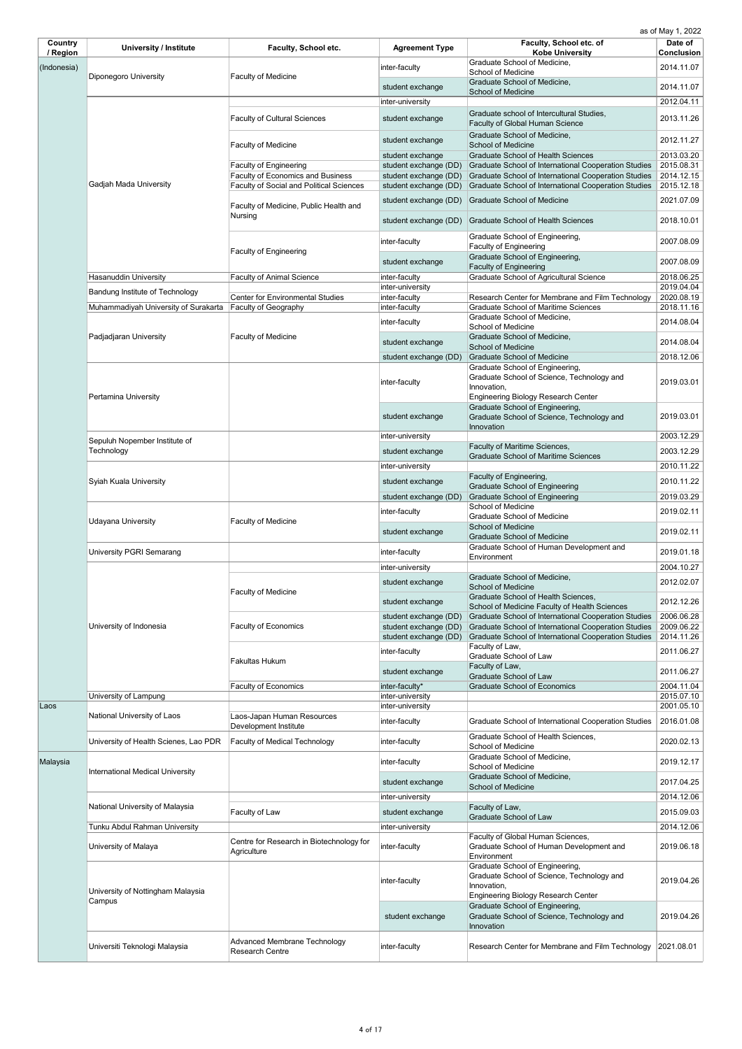| Country<br>/ Region | <b>University / Institute</b>           | <b>Faculty, School etc.</b>                                   | <b>Agreement Type</b> | Faculty, School etc. of<br><b>Kobe University</b>                                                       | Date of<br><b>Conclusion</b> |
|---------------------|-----------------------------------------|---------------------------------------------------------------|-----------------------|---------------------------------------------------------------------------------------------------------|------------------------------|
| (Indonesia)         |                                         |                                                               | inter-faculty         | Graduate School of Medicine,                                                                            | 2014.11.07                   |
|                     | <b>Diponegoro University</b>            | <b>Faculty of Medicine</b>                                    | student exchange      | <b>School of Medicine</b><br>Graduate School of Medicine,                                               | 2014.11.07                   |
|                     |                                         |                                                               | inter-university      | <b>School of Medicine</b>                                                                               | 2012.04.11                   |
|                     |                                         |                                                               |                       | Graduate school of Intercultural Studies,                                                               |                              |
|                     |                                         | <b>Faculty of Cultural Sciences</b>                           | student exchange      | <b>Faculty of Global Human Science</b>                                                                  | 2013.11.26                   |
|                     |                                         | <b>Faculty of Medicine</b>                                    | student exchange      | Graduate School of Medicine,<br><b>School of Medicine</b>                                               | 2012.11.27                   |
|                     |                                         |                                                               | student exchange      | <b>Graduate School of Health Sciences</b>                                                               | 2013.03.20                   |
|                     |                                         | <b>Faculty of Engineering</b>                                 | student exchange (DD) | Graduate School of International Cooperation Studies                                                    | 2015.08.31                   |
|                     |                                         | <b>Faculty of Economics and Business</b>                      | student exchange (DD) | Graduate School of International Cooperation Studies                                                    | 2014.12.15                   |
|                     | Gadjah Mada University                  | <b>Faculty of Social and Political Sciences</b>               | student exchange (DD) | <b>Graduate School of International Cooperation Studies</b>                                             | 2015.12.18                   |
|                     |                                         | Faculty of Medicine, Public Health and                        | student exchange (DD) | <b>Graduate School of Medicine</b>                                                                      | 2021.07.09                   |
|                     |                                         | <b>Nursing</b>                                                | student exchange (DD) | <b>Graduate School of Health Sciences</b>                                                               | 2018.10.01                   |
|                     |                                         | <b>Faculty of Engineering</b>                                 | inter-faculty         | Graduate School of Engineering,<br><b>Faculty of Engineering</b>                                        | 2007.08.09                   |
|                     |                                         |                                                               | student exchange      | Graduate School of Engineering,<br><b>Faculty of Engineering</b>                                        | 2007.08.09                   |
|                     | <b>Hasanuddin University</b>            | <b>Faculty of Animal Science</b>                              | inter-faculty         | <b>Graduate School of Agricultural Science</b>                                                          | 2018.06.25                   |
|                     | Bandung Institute of Technology         |                                                               | inter-university      |                                                                                                         | 2019.04.04                   |
|                     |                                         | <b>Center for Environmental Studies</b>                       | inter-faculty         | Research Center for Membrane and Film Technology                                                        | 2020.08.19                   |
|                     | Muhammadiyah University of Surakarta    | Faculty of Geography                                          | inter-faculty         | <b>Graduate School of Maritime Sciences</b><br>Graduate School of Medicine,                             | 2018.11.16                   |
|                     |                                         |                                                               | inter-faculty         | <b>School of Medicine</b>                                                                               | 2014.08.04                   |
|                     | Padjadjaran University                  | <b>Faculty of Medicine</b>                                    | student exchange      | Graduate School of Medicine,                                                                            | 2014.08.04                   |
|                     |                                         |                                                               | student exchange (DD) | <b>School of Medicine</b><br>Graduate School of Medicine                                                | 2018.12.06                   |
|                     |                                         |                                                               |                       | Graduate School of Engineering,                                                                         |                              |
|                     | Pertamina University                    |                                                               | inter-faculty         | Graduate School of Science, Technology and<br>Innovation,<br><b>Engineering Biology Research Center</b> | 2019.03.01                   |
|                     |                                         |                                                               | student exchange      | Graduate School of Engineering,<br>Graduate School of Science, Technology and<br>Innovation             | 2019.03.01                   |
|                     | Sepuluh Nopember Institute of           |                                                               | inter-university      |                                                                                                         | 2003.12.29                   |
|                     | Technology                              |                                                               | student exchange      | <b>Faculty of Maritime Sciences,</b>                                                                    | 2003.12.29                   |
|                     |                                         |                                                               |                       | <b>Graduate School of Maritime Sciences</b>                                                             | 2010.11.22                   |
|                     |                                         |                                                               | inter-university      | Faculty of Engineering,                                                                                 |                              |
|                     | Syiah Kuala University                  |                                                               | student exchange      | <b>Graduate School of Engineering</b>                                                                   | 2010.11.22                   |
|                     |                                         |                                                               | student exchange (DD) | <b>Graduate School of Engineering</b>                                                                   | 2019.03.29                   |
|                     | <b>Udayana University</b>               | <b>Faculty of Medicine</b>                                    | inter-faculty         | <b>School of Medicine</b><br><b>Graduate School of Medicine</b>                                         | 2019.02.11                   |
|                     |                                         |                                                               | student exchange      | <b>School of Medicine</b><br><b>Graduate School of Medicine</b>                                         | 2019.02.11                   |
|                     | <b>University PGRI Semarang</b>         |                                                               | inter-faculty         | Graduate School of Human Development and<br>Environment                                                 | 2019.01.18                   |
|                     |                                         |                                                               | inter-university      |                                                                                                         | 2004.10.27                   |
|                     |                                         | <b>Faculty of Medicine</b>                                    | student exchange      | Graduate School of Medicine,<br><b>School of Medicine</b>                                               | 2012.02.07                   |
|                     |                                         |                                                               | student exchange      | Graduate School of Health Sciences,                                                                     | 2012.12.26                   |
|                     |                                         |                                                               | student exchange (DD) | School of Medicine Faculty of Health Sciences<br>Graduate School of International Cooperation Studies   | 2006.06.28                   |
|                     | University of Indonesia                 | <b>Faculty of Economics</b>                                   | student exchange (DD) | <b>Graduate School of International Cooperation Studies</b>                                             | 2009.06.22                   |
|                     |                                         |                                                               | student exchange (DD) | Graduate School of International Cooperation Studies                                                    | 2014.11.26                   |
|                     |                                         | <b>Fakultas Hukum</b>                                         | inter-faculty         | Faculty of Law,<br><b>Graduate School of Law</b>                                                        | 2011.06.27                   |
|                     |                                         |                                                               | student exchange      | Faculty of Law,                                                                                         | 2011.06.27                   |
|                     |                                         | <b>Faculty of Economics</b>                                   | inter-faculty*        | <b>Graduate School of Law</b><br><b>Graduate School of Economics</b>                                    | 2004.11.04                   |
|                     | University of Lampung                   |                                                               | inter-university      |                                                                                                         | 2015.07.10                   |
| Laos                |                                         |                                                               | inter-university      |                                                                                                         | 2001.05.10                   |
|                     | National University of Laos             | Laos-Japan Human Resources<br>Development Institute           | inter-faculty         | Graduate School of International Cooperation Studies                                                    | 2016.01.08                   |
|                     | University of Health Scienes, Lao PDR   | <b>Faculty of Medical Technology</b>                          | inter-faculty         | Graduate School of Health Sciences,<br><b>School of Medicine</b>                                        | 2020.02.13                   |
| Malaysia            | <b>International Medical University</b> |                                                               | inter-faculty         | Graduate School of Medicine,<br><b>School of Medicine</b>                                               | 2019.12.17                   |
|                     |                                         |                                                               | student exchange      | Graduate School of Medicine,<br><b>School of Medicine</b>                                               | 2017.04.25                   |
|                     |                                         |                                                               | inter-university      |                                                                                                         | 2014.12.06                   |
|                     | National University of Malaysia         | Faculty of Law                                                | student exchange      | Faculty of Law,<br><b>Graduate School of Law</b>                                                        | 2015.09.03                   |
|                     | Tunku Abdul Rahman University           |                                                               | inter-university      |                                                                                                         | 2014.12.06                   |
|                     | University of Malaya                    | Centre for Research in Biotechnology for<br>Agriculture       | inter-faculty         | Faculty of Global Human Sciences,<br>Graduate School of Human Development and<br>Environment            | 2019.06.18                   |
|                     |                                         |                                                               | inter-faculty         | Graduate School of Engineering,<br>Graduate School of Science, Technology and<br>Innovation,            | 2019.04.26                   |
|                     | University of Nottingham Malaysia       |                                                               |                       | <b>Engineering Biology Research Center</b>                                                              |                              |
|                     | Campus                                  |                                                               |                       | Graduate School of Engineering,                                                                         |                              |
|                     |                                         |                                                               | student exchange      | Graduate School of Science, Technology and<br>Innovation                                                | 2019.04.26                   |
|                     | Universiti Teknologi Malaysia           | <b>Advanced Membrane Technology</b><br><b>Research Centre</b> | inter-faculty         | Research Center for Membrane and Film Technology                                                        | 2021.08.01                   |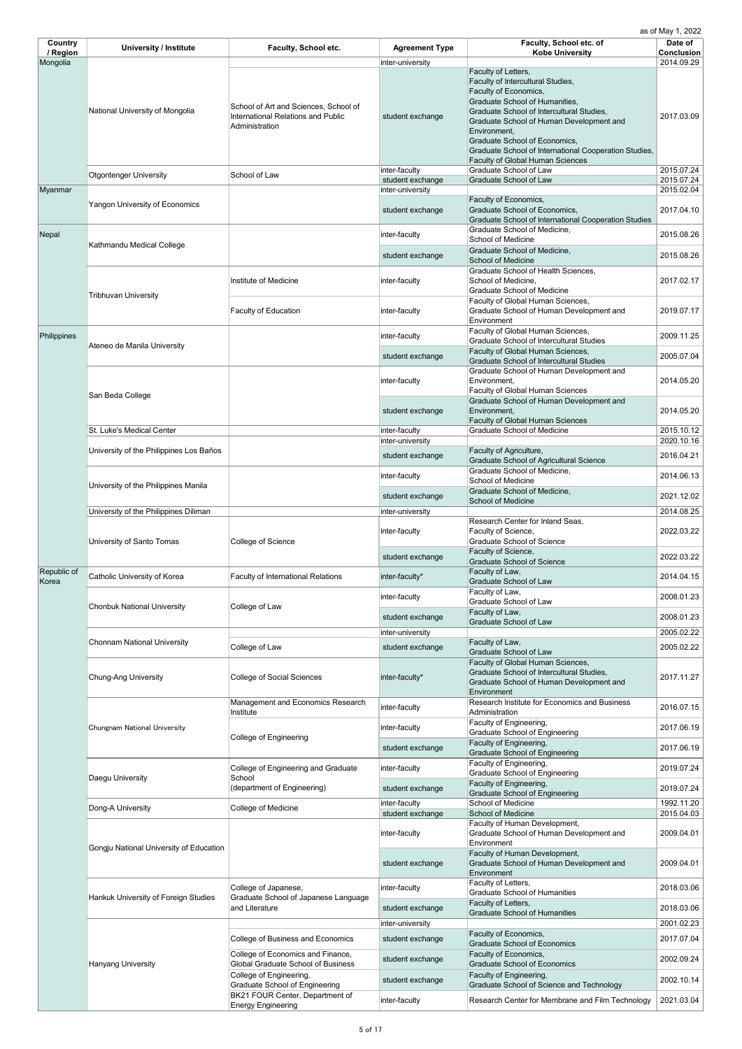| Country<br>/ Region  | <b>University / Institute</b>           | <b>Faculty, School etc.</b>                                                                          | <b>Agreement Type</b>                | Faculty, School etc. of<br><b>Kobe University</b>                                                                                                                                                                                                             | Date of<br><b>Conclusion</b> |
|----------------------|-----------------------------------------|------------------------------------------------------------------------------------------------------|--------------------------------------|---------------------------------------------------------------------------------------------------------------------------------------------------------------------------------------------------------------------------------------------------------------|------------------------------|
| Mongolia             | National University of Mongolia         | School of Art and Sciences, School of<br><b>International Relations and Public</b><br>Administration | inter-university<br>student exchange | Faculty of Letters,<br>Faculty of Intercultural Studies,<br>Faculty of Economics,<br>Graduate School of Humanities,<br>Graduate School of Intercultural Studies,<br>Graduate School of Human Development and<br>Environment,<br>Graduate School of Economics, | 2014.09.29<br>2017.03.09     |
|                      | <b>Otgontenger University</b>           | School of Law                                                                                        | inter-faculty                        | Graduate School of International Cooperation Studies,<br><b>Faculty of Global Human Sciences</b><br><b>Graduate School of Law</b>                                                                                                                             | 2015.07.24                   |
| Myanmar              |                                         |                                                                                                      | student exchange<br>inter-university | <b>Graduate School of Law</b>                                                                                                                                                                                                                                 | 2015.07.24<br>2015.02.04     |
|                      | <b>Yangon University of Economics</b>   |                                                                                                      | student exchange                     | Faculty of Economics,<br><b>Graduate School of Economics,</b><br><b>Graduate School of International Cooperation Studies</b>                                                                                                                                  | 2017.04.10                   |
| Nepal                |                                         |                                                                                                      | inter-faculty                        | Graduate School of Medicine,<br><b>School of Medicine</b>                                                                                                                                                                                                     | 2015.08.26                   |
|                      | Kathmandu Medical College               |                                                                                                      | student exchange                     | Graduate School of Medicine,<br>School of Medicine                                                                                                                                                                                                            | 2015.08.26                   |
|                      | <b>Tribhuvan University</b>             | Institute of Medicine                                                                                | inter-faculty                        | Graduate School of Health Sciences,<br>School of Medicine,<br><b>Graduate School of Medicine</b>                                                                                                                                                              | 2017.02.17                   |
|                      |                                         | <b>Faculty of Education</b>                                                                          | inter-faculty                        | Faculty of Global Human Sciences,<br>Graduate School of Human Development and<br>Environment                                                                                                                                                                  | 2019.07.17                   |
| Philippines          |                                         |                                                                                                      | inter-faculty                        | Faculty of Global Human Sciences,<br><b>Graduate School of Intercultural Studies</b>                                                                                                                                                                          | 2009.11.25                   |
|                      | Ateneo de Manila University             |                                                                                                      | student exchange                     | Faculty of Global Human Sciences,<br><b>Graduate School of Intercultural Studies</b>                                                                                                                                                                          | 2005.07.04                   |
|                      |                                         |                                                                                                      | inter-faculty                        | Graduate School of Human Development and<br>Environment,<br><b>Faculty of Global Human Sciences</b>                                                                                                                                                           | 2014.05.20                   |
|                      | San Beda College                        |                                                                                                      | student exchange                     | Graduate School of Human Development and<br>Environment,<br><b>Faculty of Global Human Sciences</b>                                                                                                                                                           | 2014.05.20                   |
|                      | St. Luke's Medical Center               |                                                                                                      | inter-faculty<br>inter-university    | <b>Graduate School of Medicine</b>                                                                                                                                                                                                                            | 2015.10.12<br>2020.10.16     |
|                      | University of the Philippines Los Baños |                                                                                                      | student exchange                     | Faculty of Agriculture,<br><b>Graduate School of Agricultural Science</b>                                                                                                                                                                                     | 2016.04.21                   |
|                      |                                         |                                                                                                      | inter-faculty                        | Graduate School of Medicine,<br><b>School of Medicine</b>                                                                                                                                                                                                     | 2014.06.13                   |
|                      | University of the Philippines Manila    |                                                                                                      | student exchange                     | Graduate School of Medicine,<br><b>School of Medicine</b>                                                                                                                                                                                                     | 2021.12.02                   |
|                      | University of the Philippines Diliman   |                                                                                                      | inter-university                     | Research Center for Inland Seas,                                                                                                                                                                                                                              | 2014.08.25                   |
|                      | University of Santo Tomas               | College of Science                                                                                   | inter-faculty                        | Faculty of Science,<br><b>Graduate School of Science</b>                                                                                                                                                                                                      | 2022.03.22                   |
|                      |                                         |                                                                                                      | student exchange                     | Faculty of Science,<br><b>Graduate School of Science</b>                                                                                                                                                                                                      | 2022.03.22                   |
| Republic of<br>Korea | Catholic University of Korea            | <b>Faculty of International Relations</b>                                                            | inter-faculty*                       | Faculty of Law,<br><b>Graduate School of Law</b>                                                                                                                                                                                                              | 2014.04.15                   |
|                      | <b>Chonbuk National University</b>      | College of Law                                                                                       | inter-faculty                        | Faculty of Law,<br>Graduate School of Law<br>Faculty of Law,                                                                                                                                                                                                  | 2008.01.23                   |
|                      |                                         |                                                                                                      | student exchange                     | <b>Graduate School of Law</b>                                                                                                                                                                                                                                 | 2008.01.23                   |
|                      | <b>Chonnam National University</b>      | College of Law                                                                                       | inter-university<br>student exchange | Faculty of Law,                                                                                                                                                                                                                                               | 2005.02.22<br>2005.02.22     |
|                      | <b>Chung-Ang University</b>             | <b>College of Social Sciences</b>                                                                    | inter-faculty*                       | <b>Graduate School of Law</b><br>Faculty of Global Human Sciences,<br>Graduate School of Intercultural Studies,<br>Graduate School of Human Development and                                                                                                   | 2017.11.27                   |
|                      |                                         | Management and Economics Research<br>Institute                                                       | inter-faculty                        | Environment<br>Research Institute for Economics and Business<br>Administration                                                                                                                                                                                | 2016.07.15                   |
|                      | Chungnam National University            |                                                                                                      | inter-faculty                        | Faculty of Engineering,<br><b>Graduate School of Engineering</b>                                                                                                                                                                                              | 2017.06.19                   |
|                      |                                         | <b>College of Engineering</b>                                                                        | student exchange                     | Faculty of Engineering,<br><b>Graduate School of Engineering</b>                                                                                                                                                                                              | 2017.06.19                   |
|                      |                                         | College of Engineering and Graduate                                                                  | inter-faculty                        | Faculty of Engineering,<br><b>Graduate School of Engineering</b>                                                                                                                                                                                              | 2019.07.24                   |
|                      | Daegu University                        | School<br>(department of Engineering)                                                                | student exchange                     | Faculty of Engineering,<br><b>Graduate School of Engineering</b>                                                                                                                                                                                              | 2019.07.24                   |
|                      | Dong-A University                       | College of Medicine                                                                                  | inter-faculty<br>student exchange    | <b>School of Medicine</b><br>School of Medicine                                                                                                                                                                                                               | 1992.11.20<br>2015.04.03     |
|                      |                                         |                                                                                                      | inter-faculty                        | Faculty of Human Development,<br>Graduate School of Human Development and                                                                                                                                                                                     | 2009.04.01                   |
|                      | Gongju National University of Education |                                                                                                      | student exchange                     | Environment<br>Faculty of Human Development,<br>Graduate School of Human Development and<br>Environment                                                                                                                                                       | 2009.04.01                   |
|                      | Hankuk University of Foreign Studies    | College of Japanese,<br>Graduate School of Japanese Language                                         | inter-faculty                        | Faculty of Letters,<br><b>Graduate School of Humanities</b><br>Faculty of Letters,                                                                                                                                                                            | 2018.03.06                   |
|                      |                                         | and Literature                                                                                       | student exchange<br>inter-university | <b>Graduate School of Humanities</b>                                                                                                                                                                                                                          | 2018.03.06<br>2001.02.23     |
|                      |                                         | <b>College of Business and Economics</b>                                                             | student exchange                     | Faculty of Economics,                                                                                                                                                                                                                                         | 2017.07.04                   |
|                      |                                         | College of Economics and Finance,<br><b>Global Graduate School of Business</b>                       | student exchange                     | <b>Graduate School of Economics</b><br>Faculty of Economics,<br><b>Graduate School of Economics</b>                                                                                                                                                           | 2002.09.24                   |
|                      | <b>Hanyang University</b>               | College of Engineering,<br><b>Graduate School of Engineering</b>                                     | student exchange                     | Faculty of Engineering,<br>Graduate School of Science and Technology                                                                                                                                                                                          | 2002.10.14                   |
|                      |                                         | BK21 FOUR Center, Department of<br><b>Energy Engineering</b>                                         | inter-faculty                        | Research Center for Membrane and Film Technology                                                                                                                                                                                                              | 2021.03.04                   |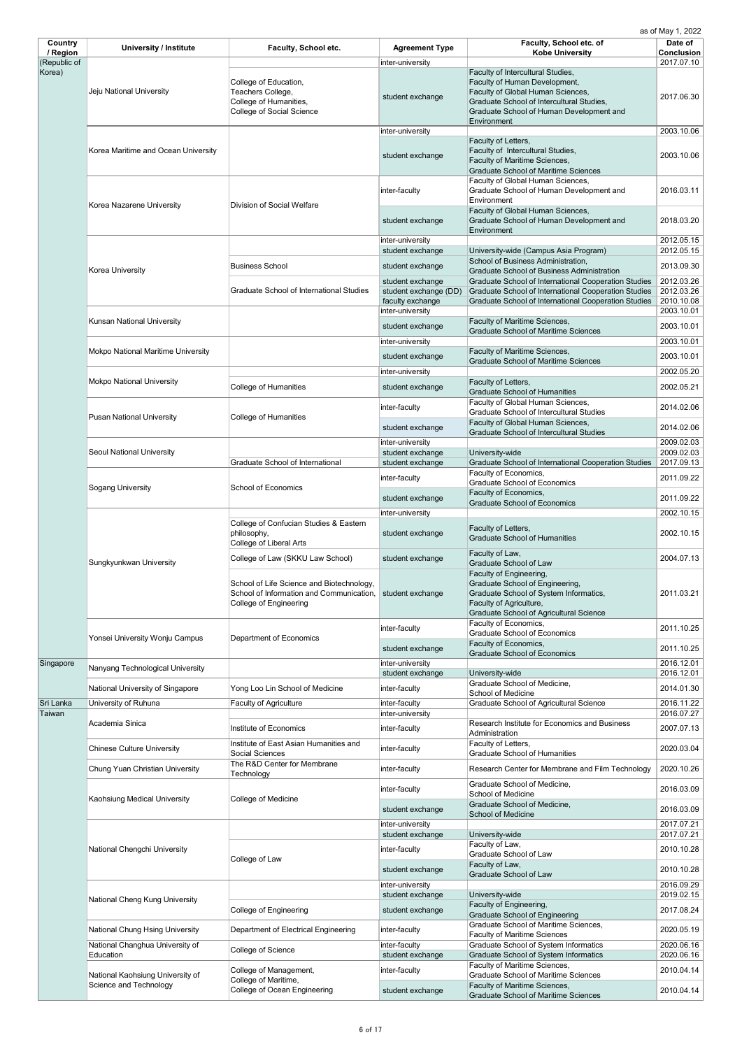| Country                  | <b>University / Institute</b>                              | Faculty, School etc.                                                                                                   | <b>Agreement Type</b>                                                             | Faculty, School etc. of                                                                                                                                                           | Date of                                              |
|--------------------------|------------------------------------------------------------|------------------------------------------------------------------------------------------------------------------------|-----------------------------------------------------------------------------------|-----------------------------------------------------------------------------------------------------------------------------------------------------------------------------------|------------------------------------------------------|
| / Region<br>(Republic of |                                                            |                                                                                                                        | inter-university                                                                  | <b>Kobe University</b>                                                                                                                                                            | <b>Conclusion</b><br>2017.07.10                      |
| Korea)                   |                                                            |                                                                                                                        |                                                                                   | Faculty of Intercultural Studies,                                                                                                                                                 |                                                      |
|                          | Jeju National University                                   | College of Education,<br>Teachers College,<br>College of Humanities,<br><b>College of Social Science</b>               | student exchange                                                                  | Faculty of Human Development,<br>Faculty of Global Human Sciences,<br>Graduate School of Intercultural Studies,<br>Graduate School of Human Development and<br>Environment        | 2017.06.30                                           |
|                          |                                                            |                                                                                                                        | inter-university                                                                  |                                                                                                                                                                                   | 2003.10.06                                           |
|                          | Korea Maritime and Ocean University                        |                                                                                                                        | student exchange                                                                  | Faculty of Letters,<br>Faculty of Intercultural Studies,<br>Faculty of Maritime Sciences,<br><b>Graduate School of Maritime Sciences</b>                                          | 2003.10.06                                           |
|                          | Korea Nazarene University                                  | <b>Division of Social Welfare</b>                                                                                      | inter-faculty                                                                     | Faculty of Global Human Sciences,<br>Graduate School of Human Development and<br>Environment                                                                                      | 2016.03.11                                           |
|                          |                                                            |                                                                                                                        | student exchange                                                                  | Faculty of Global Human Sciences,<br>Graduate School of Human Development and<br>Environment                                                                                      | 2018.03.20                                           |
|                          |                                                            |                                                                                                                        | inter-university<br>student exchange                                              |                                                                                                                                                                                   | 2012.05.15<br>2012.05.15                             |
|                          |                                                            |                                                                                                                        |                                                                                   | University-wide (Campus Asia Program)<br>School of Business Administration,                                                                                                       |                                                      |
|                          | Korea University                                           | <b>Business School</b>                                                                                                 | student exchange                                                                  | <b>Graduate School of Business Administration</b>                                                                                                                                 | 2013.09.30                                           |
|                          |                                                            | <b>Graduate School of International Studies</b>                                                                        | student exchange<br>student exchange (DD)<br>faculty exchange<br>inter-university | Graduate School of International Cooperation Studies<br>Graduate School of International Cooperation Studies<br>Graduate School of International Cooperation Studies              | 2012.03.26<br>2012.03.26<br>2010.10.08<br>2003.10.01 |
|                          | <b>Kunsan National University</b>                          |                                                                                                                        | student exchange                                                                  | Faculty of Maritime Sciences,<br><b>Graduate School of Maritime Sciences</b>                                                                                                      | 2003.10.01                                           |
|                          |                                                            |                                                                                                                        | inter-university                                                                  |                                                                                                                                                                                   | 2003.10.01                                           |
|                          | <b>Mokpo National Maritime University</b>                  |                                                                                                                        | student exchange                                                                  | <b>Faculty of Maritime Sciences,</b>                                                                                                                                              | 2003.10.01                                           |
|                          |                                                            |                                                                                                                        | inter-university                                                                  | <b>Graduate School of Maritime Sciences</b>                                                                                                                                       | 2002.05.20                                           |
|                          | <b>Mokpo National University</b>                           |                                                                                                                        |                                                                                   | Faculty of Letters,                                                                                                                                                               |                                                      |
|                          |                                                            | <b>College of Humanities</b>                                                                                           | student exchange                                                                  | <b>Graduate School of Humanities</b>                                                                                                                                              | 2002.05.21                                           |
|                          | <b>Pusan National University</b>                           | College of Humanities                                                                                                  | inter-faculty                                                                     | Faculty of Global Human Sciences,<br><b>Graduate School of Intercultural Studies</b><br>Faculty of Global Human Sciences,                                                         | 2014.02.06                                           |
|                          |                                                            |                                                                                                                        | student exchange                                                                  | <b>Graduate School of Intercultural Studies</b>                                                                                                                                   | 2014.02.06                                           |
|                          | <b>Seoul National University</b>                           |                                                                                                                        | inter-university                                                                  |                                                                                                                                                                                   | 2009.02.03<br>2009.02.03                             |
|                          |                                                            | <b>Graduate School of International</b>                                                                                | student exchange<br>student exchange                                              | University-wide<br>Graduate School of International Cooperation Studies                                                                                                           | 2017.09.13                                           |
|                          |                                                            | <b>School of Economics</b>                                                                                             | inter-faculty                                                                     | Faculty of Economics,                                                                                                                                                             | 2011.09.22                                           |
|                          | <b>Sogang University</b>                                   |                                                                                                                        |                                                                                   | <b>Graduate School of Economics</b>                                                                                                                                               |                                                      |
|                          |                                                            |                                                                                                                        | student exchange                                                                  | Faculty of Economics,<br><b>Graduate School of Economics</b>                                                                                                                      | 2011.09.22                                           |
|                          |                                                            |                                                                                                                        | inter-university                                                                  |                                                                                                                                                                                   | 2002.10.15                                           |
|                          |                                                            | College of Confucian Studies & Eastern<br>philosophy,<br><b>College of Liberal Arts</b>                                | student exchange                                                                  | Faculty of Letters,<br><b>Graduate School of Humanities</b>                                                                                                                       | 2002.10.15                                           |
|                          | Sungkyunkwan University                                    | College of Law (SKKU Law School)                                                                                       | student exchange                                                                  | Faculty of Law,<br><b>Graduate School of Law</b>                                                                                                                                  | 2004.07.13                                           |
|                          |                                                            | School of Life Science and Biotechnology,<br>School of Information and Communication,<br><b>College of Engineering</b> | student exchange                                                                  | Faculty of Engineering,<br>Graduate School of Engineering,<br>Graduate School of System Informatics,<br>Faculty of Agriculture,<br><b>Graduate School of Agricultural Science</b> | 2011.03.21                                           |
|                          |                                                            |                                                                                                                        | inter-faculty                                                                     | Faculty of Economics,<br><b>Graduate School of Economics</b>                                                                                                                      | 2011.10.25                                           |
|                          | Yonsei University Wonju Campus                             | Department of Economics                                                                                                |                                                                                   | Faculty of Economics,                                                                                                                                                             |                                                      |
|                          |                                                            |                                                                                                                        | student exchange                                                                  | <b>Graduate School of Economics</b>                                                                                                                                               | 2011.10.25                                           |
| Singapore                | Nanyang Technological University                           |                                                                                                                        | inter-university<br>student exchange                                              | University-wide                                                                                                                                                                   | 2016.12.01<br>2016.12.01                             |
|                          |                                                            |                                                                                                                        |                                                                                   | Graduate School of Medicine,                                                                                                                                                      |                                                      |
|                          | National University of Singapore                           | Yong Loo Lin School of Medicine                                                                                        | inter-faculty                                                                     | <b>School of Medicine</b>                                                                                                                                                         | 2014.01.30                                           |
| Sri Lanka<br>Taiwan      | University of Ruhuna                                       | <b>Faculty of Agriculture</b>                                                                                          | inter-faculty<br>inter-university                                                 | <b>Graduate School of Agricultural Science</b>                                                                                                                                    | 2016.11.22<br>2016.07.27                             |
|                          | Academia Sinica                                            | Institute of Economics                                                                                                 | inter-faculty                                                                     | Research Institute for Economics and Business                                                                                                                                     | 2007.07.13                                           |
|                          |                                                            | Institute of East Asian Humanities and                                                                                 |                                                                                   | Administration                                                                                                                                                                    |                                                      |
|                          | <b>Chinese Culture University</b>                          | Social Sciences                                                                                                        | inter-faculty                                                                     | Faculty of Letters,<br><b>Graduate School of Humanities</b>                                                                                                                       | 2020.03.04                                           |
|                          | Chung Yuan Christian University                            | The R&D Center for Membrane<br>Technology                                                                              | inter-faculty                                                                     | Research Center for Membrane and Film Technology                                                                                                                                  | 2020.10.26                                           |
|                          |                                                            |                                                                                                                        | inter-faculty                                                                     | Graduate School of Medicine,<br><b>School of Medicine</b>                                                                                                                         | 2016.03.09                                           |
|                          | Kaohsiung Medical University                               | College of Medicine                                                                                                    | student exchange                                                                  | Graduate School of Medicine,                                                                                                                                                      | 2016.03.09                                           |
|                          |                                                            |                                                                                                                        | inter-university                                                                  | <b>School of Medicine</b>                                                                                                                                                         | 2017.07.21                                           |
|                          |                                                            |                                                                                                                        | student exchange                                                                  | University-wide                                                                                                                                                                   | 2017.07.21                                           |
|                          | National Chengchi University                               |                                                                                                                        | inter-faculty                                                                     | Faculty of Law,<br><b>Graduate School of Law</b>                                                                                                                                  | 2010.10.28                                           |
|                          |                                                            | College of Law                                                                                                         | student exchange                                                                  | Faculty of Law,<br><b>Graduate School of Law</b>                                                                                                                                  | 2010.10.28                                           |
|                          |                                                            |                                                                                                                        | inter-university                                                                  |                                                                                                                                                                                   | 2016.09.29                                           |
|                          | National Cheng Kung University                             |                                                                                                                        | student exchange                                                                  | University-wide<br>Faculty of Engineering,                                                                                                                                        | 2019.02.15                                           |
|                          |                                                            | <b>College of Engineering</b>                                                                                          | student exchange                                                                  | <b>Graduate School of Engineering</b>                                                                                                                                             | 2017.08.24                                           |
|                          | <b>National Chung Hsing University</b>                     | Department of Electrical Engineering                                                                                   | inter-faculty                                                                     | <b>Graduate School of Maritime Sciences,</b>                                                                                                                                      | 2020.05.19                                           |
|                          | National Changhua University of                            |                                                                                                                        | inter-faculty                                                                     | <b>Faculty of Maritime Sciences</b><br><b>Graduate School of System Informatics</b>                                                                                               | 2020.06.16                                           |
|                          | Education                                                  | College of Science                                                                                                     | student exchange                                                                  | <b>Graduate School of System Informatics</b>                                                                                                                                      | 2020.06.16                                           |
|                          |                                                            | College of Management,                                                                                                 | inter-faculty                                                                     | Faculty of Maritime Sciences,                                                                                                                                                     | 2010.04.14                                           |
|                          | National Kaohsiung University of<br>Science and Technology | College of Maritime,                                                                                                   |                                                                                   | <b>Graduate School of Maritime Sciences</b><br>Faculty of Maritime Sciences,                                                                                                      |                                                      |
|                          |                                                            | College of Ocean Engineering                                                                                           | student exchange                                                                  | <b>Graduate School of Maritime Sciences</b>                                                                                                                                       | 2010.04.14                                           |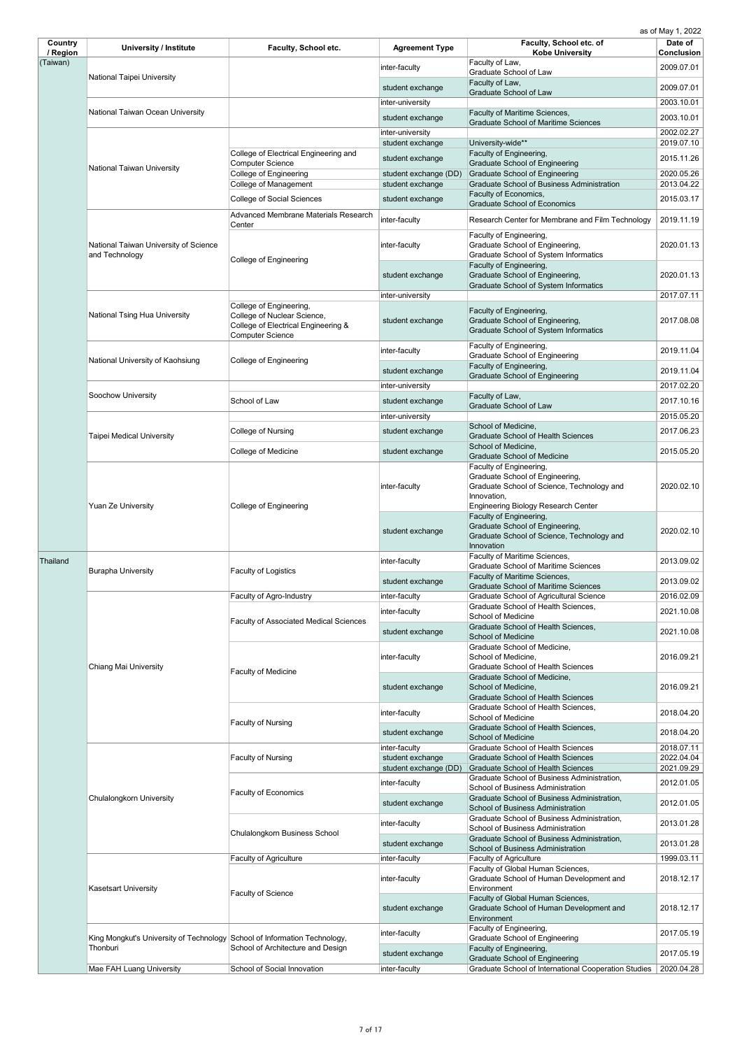| Country<br>/ Region | <b>University / Institute</b>                                             | Faculty, School etc.                                                                                                     | <b>Agreement Type</b>                | Faculty, School etc. of<br><b>Kobe University</b>                                                                                                                     | Date of<br><b>Conclusion</b> |
|---------------------|---------------------------------------------------------------------------|--------------------------------------------------------------------------------------------------------------------------|--------------------------------------|-----------------------------------------------------------------------------------------------------------------------------------------------------------------------|------------------------------|
| (Taiwan)            |                                                                           |                                                                                                                          | inter-faculty                        | Faculty of Law,                                                                                                                                                       | 2009.07.01                   |
|                     | National Taipei University                                                |                                                                                                                          | student exchange                     | Graduate School of Law<br>Faculty of Law,                                                                                                                             | 2009.07.01                   |
|                     |                                                                           |                                                                                                                          | inter-university                     | <b>Graduate School of Law</b>                                                                                                                                         | 2003.10.01                   |
|                     | National Taiwan Ocean University                                          |                                                                                                                          |                                      | Faculty of Maritime Sciences,                                                                                                                                         | 2003.10.01                   |
|                     |                                                                           |                                                                                                                          | student exchange<br>inter-university | <b>Graduate School of Maritime Sciences</b>                                                                                                                           | 2002.02.27                   |
|                     |                                                                           |                                                                                                                          | student exchange                     | University-wide**                                                                                                                                                     | 2019.07.10                   |
|                     |                                                                           | College of Electrical Engineering and<br><b>Computer Science</b>                                                         | student exchange                     | Faculty of Engineering,<br><b>Graduate School of Engineering</b>                                                                                                      | 2015.11.26                   |
|                     | <b>National Taiwan University</b>                                         | <b>College of Engineering</b>                                                                                            | student exchange (DD)                | <b>Graduate School of Engineering</b>                                                                                                                                 | 2020.05.26                   |
|                     |                                                                           | <b>College of Management</b>                                                                                             | student exchange                     | <b>Graduate School of Business Administration</b>                                                                                                                     | 2013.04.22                   |
|                     |                                                                           | <b>College of Social Sciences</b>                                                                                        | student exchange                     | Faculty of Economics,<br><b>Graduate School of Economics</b>                                                                                                          | 2015.03.17                   |
|                     |                                                                           | Advanced Membrane Materials Research<br>Center                                                                           | inter-faculty                        | Research Center for Membrane and Film Technology                                                                                                                      | 2019.11.19                   |
|                     | National Taiwan University of Science<br>and Technology                   | College of Engineering                                                                                                   | inter-faculty                        | Faculty of Engineering,<br>Graduate School of Engineering,<br><b>Graduate School of System Informatics</b><br>Faculty of Engineering,                                 | 2020.01.13                   |
|                     |                                                                           |                                                                                                                          | student exchange                     | Graduate School of Engineering,<br><b>Graduate School of System Informatics</b>                                                                                       | 2020.01.13                   |
|                     |                                                                           |                                                                                                                          | inter-university                     |                                                                                                                                                                       | 2017.07.11                   |
|                     | National Tsing Hua University                                             | College of Engineering,<br>College of Nuclear Science,<br>College of Electrical Engineering &<br><b>Computer Science</b> | student exchange                     | Faculty of Engineering,<br>Graduate School of Engineering,<br><b>Graduate School of System Informatics</b>                                                            | 2017.08.08                   |
|                     |                                                                           |                                                                                                                          | inter-faculty                        | Faculty of Engineering,<br><b>Graduate School of Engineering</b>                                                                                                      | 2019.11.04                   |
|                     | National University of Kaohsiung                                          | College of Engineering                                                                                                   | student exchange                     | Faculty of Engineering,                                                                                                                                               | 2019.11.04                   |
|                     |                                                                           |                                                                                                                          | inter-university                     | <b>Graduate School of Engineering</b>                                                                                                                                 | 2017.02.20                   |
|                     | Soochow University                                                        | School of Law                                                                                                            | student exchange                     | Faculty of Law,                                                                                                                                                       | 2017.10.16                   |
|                     |                                                                           |                                                                                                                          | inter-university                     | <b>Graduate School of Law</b>                                                                                                                                         | 2015.05.20                   |
|                     |                                                                           | College of Nursing                                                                                                       | student exchange                     | School of Medicine,                                                                                                                                                   | 2017.06.23                   |
|                     | <b>Taipei Medical University</b>                                          |                                                                                                                          |                                      | <b>Graduate School of Health Sciences</b><br>School of Medicine,                                                                                                      |                              |
|                     |                                                                           | College of Medicine                                                                                                      | student exchange                     | <b>Graduate School of Medicine</b>                                                                                                                                    | 2015.05.20                   |
|                     | <b>Yuan Ze University</b>                                                 | College of Engineering                                                                                                   | inter-faculty                        | Faculty of Engineering,<br>Graduate School of Engineering,<br>Graduate School of Science, Technology and<br>Innovation,<br><b>Engineering Biology Research Center</b> | 2020.02.10                   |
|                     |                                                                           |                                                                                                                          | student exchange                     | Faculty of Engineering,<br>Graduate School of Engineering,<br>Graduate School of Science, Technology and<br>Innovation                                                | 2020.02.10                   |
| Thailand            | <b>Burapha University</b>                                                 | <b>Faculty of Logistics</b>                                                                                              | inter-faculty                        | Faculty of Maritime Sciences,<br><b>Graduate School of Maritime Sciences</b>                                                                                          | 2013.09.02                   |
|                     |                                                                           |                                                                                                                          | student exchange                     | Faculty of Maritime Sciences,<br><b>Graduate School of Maritime Sciences</b>                                                                                          | 2013.09.02                   |
|                     |                                                                           | <b>Faculty of Agro-Industry</b>                                                                                          | inter-faculty                        | <b>Graduate School of Agricultural Science</b><br>Graduate School of Health Sciences,                                                                                 | 2016.02.09                   |
|                     |                                                                           | <b>Faculty of Associated Medical Sciences</b>                                                                            | inter-faculty                        | School of Medicine                                                                                                                                                    | 2021.10.08                   |
|                     |                                                                           |                                                                                                                          | student exchange                     | <b>Graduate School of Health Sciences,</b><br><b>School of Medicine</b>                                                                                               | 2021.10.08                   |
|                     |                                                                           |                                                                                                                          | inter-faculty                        | Graduate School of Medicine,<br>School of Medicine,                                                                                                                   | 2016.09.21                   |
|                     | <b>Chiang Mai University</b>                                              | <b>Faculty of Medicine</b>                                                                                               |                                      | <b>Graduate School of Health Sciences</b>                                                                                                                             |                              |
|                     |                                                                           |                                                                                                                          | student exchange                     | Graduate School of Medicine,<br>School of Medicine,<br><b>Graduate School of Health Sciences</b>                                                                      | 2016.09.21                   |
|                     |                                                                           |                                                                                                                          | inter-faculty                        | <b>Graduate School of Health Sciences,</b>                                                                                                                            | 2018.04.20                   |
|                     |                                                                           | <b>Faculty of Nursing</b>                                                                                                |                                      | <b>School of Medicine</b><br>Graduate School of Health Sciences,                                                                                                      |                              |
|                     |                                                                           |                                                                                                                          | student exchange                     | <b>School of Medicine</b>                                                                                                                                             | 2018.04.20                   |
|                     |                                                                           | <b>Faculty of Nursing</b>                                                                                                | inter-faculty<br>student exchange    | <b>Graduate School of Health Sciences</b><br><b>Graduate School of Health Sciences</b>                                                                                | 2018.07.11<br>2022.04.04     |
|                     |                                                                           |                                                                                                                          | student exchange (DD)                | <b>Graduate School of Health Sciences</b>                                                                                                                             | 2021.09.29                   |
|                     |                                                                           |                                                                                                                          | inter-faculty                        | Graduate School of Business Administration,<br><b>School of Business Administration</b>                                                                               | 2012.01.05                   |
|                     | <b>Chulalongkorn University</b>                                           | <b>Faculty of Economics</b>                                                                                              | student exchange                     | Graduate School of Business Administration,<br><b>School of Business Administration</b>                                                                               | 2012.01.05                   |
|                     |                                                                           |                                                                                                                          | inter-faculty                        | Graduate School of Business Administration,                                                                                                                           | 2013.01.28                   |
|                     |                                                                           | <b>Chulalongkorn Business School</b>                                                                                     |                                      | <b>School of Business Administration</b><br>Graduate School of Business Administration,                                                                               |                              |
|                     |                                                                           |                                                                                                                          | student exchange                     | <b>School of Business Administration</b>                                                                                                                              | 2013.01.28                   |
|                     |                                                                           | <b>Faculty of Agriculture</b>                                                                                            | inter-faculty                        | <b>Faculty of Agriculture</b><br>Faculty of Global Human Sciences,                                                                                                    | 1999.03.11                   |
|                     | <b>Kasetsart University</b>                                               | <b>Faculty of Science</b>                                                                                                | inter-faculty                        | Graduate School of Human Development and<br>Environment                                                                                                               | 2018.12.17                   |
|                     |                                                                           |                                                                                                                          | student exchange                     | Faculty of Global Human Sciences,<br>Graduate School of Human Development and<br>Environment                                                                          | 2018.12.17                   |
|                     | King Mongkut's University of Technology School of Information Technology, |                                                                                                                          | inter-faculty                        | Faculty of Engineering,<br><b>Graduate School of Engineering</b>                                                                                                      | 2017.05.19                   |
|                     | Thonburi                                                                  | School of Architecture and Design                                                                                        | student exchange                     | Faculty of Engineering,                                                                                                                                               | 2017.05.19                   |
|                     | Mae FAH Luang University                                                  | School of Social Innovation                                                                                              | inter-faculty                        | <b>Graduate School of Engineering</b><br>Graduate School of International Cooperation Studies                                                                         | 2020.04.28                   |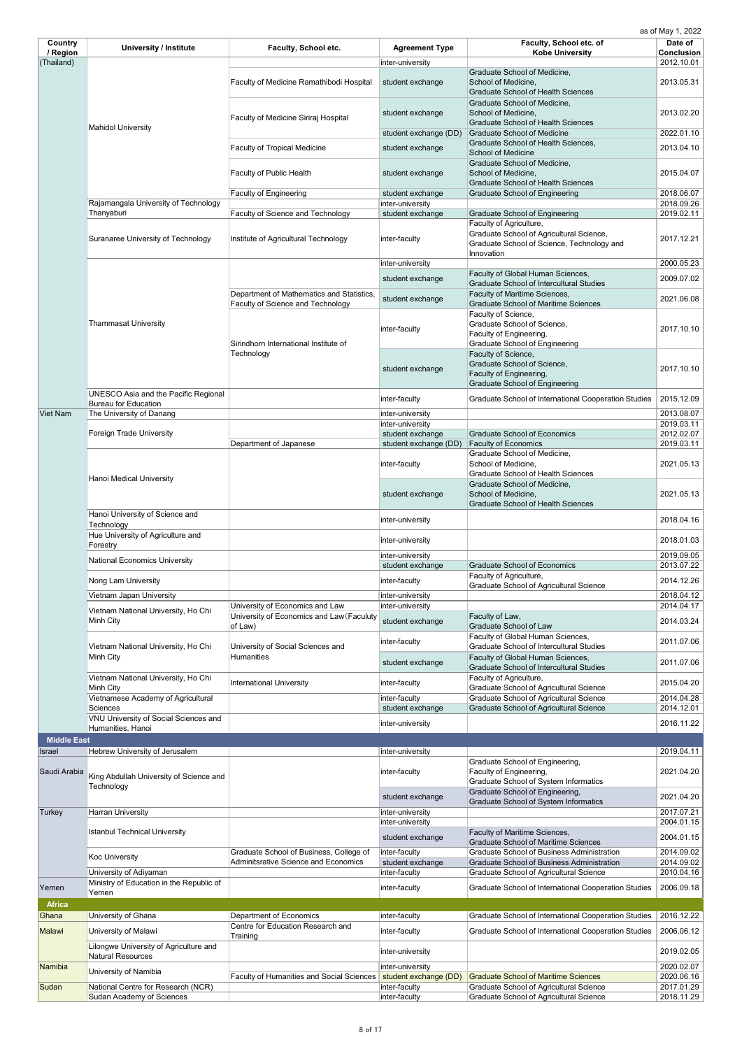| <b>Country</b>         | <b>University / Institute</b>               | <b>Faculty, School etc.</b>                 | <b>Agreement Type</b> | Faculty, School etc. of                              | Date of                         |
|------------------------|---------------------------------------------|---------------------------------------------|-----------------------|------------------------------------------------------|---------------------------------|
| / Region<br>(Thailand) |                                             |                                             | inter-university      | <b>Kobe University</b>                               | <b>Conclusion</b><br>2012.10.01 |
|                        |                                             |                                             |                       | Graduate School of Medicine,                         |                                 |
|                        |                                             | Faculty of Medicine Ramathibodi Hospital    | student exchange      | School of Medicine,                                  | 2013.05.31                      |
|                        |                                             |                                             |                       | <b>Graduate School of Health Sciences</b>            |                                 |
|                        |                                             |                                             |                       | Graduate School of Medicine,                         |                                 |
|                        |                                             |                                             |                       | School of Medicine,                                  | 2013.02.20                      |
|                        |                                             | <b>Faculty of Medicine Siriraj Hospital</b> | student exchange      | <b>Graduate School of Health Sciences</b>            |                                 |
|                        | <b>Mahidol University</b>                   |                                             |                       |                                                      |                                 |
|                        |                                             |                                             | student exchange (DD) | <b>Graduate School of Medicine</b>                   | 2022.01.10                      |
|                        |                                             | <b>Faculty of Tropical Medicine</b>         | student exchange      | Graduate School of Health Sciences,                  | 2013.04.10                      |
|                        |                                             |                                             |                       | <b>School of Medicine</b>                            |                                 |
|                        |                                             |                                             |                       | Graduate School of Medicine,                         |                                 |
|                        |                                             | <b>Faculty of Public Health</b>             | student exchange      | School of Medicine,                                  | 2015.04.07                      |
|                        |                                             |                                             |                       | <b>Graduate School of Health Sciences</b>            |                                 |
|                        |                                             | <b>Faculty of Engineering</b>               | student exchange      | <b>Graduate School of Engineering</b>                | 2018.06.07                      |
|                        | Rajamangala University of Technology        |                                             | inter-university      |                                                      | 2018.09.26                      |
|                        | Thanyaburi                                  | <b>Faculty of Science and Technology</b>    | student exchange      | <b>Graduate School of Engineering</b>                | 2019.02.11                      |
|                        |                                             |                                             |                       | Faculty of Agriculture,                              |                                 |
|                        | Suranaree University of Technology          | Institute of Agricultural Technology        | inter-faculty         | Graduate School of Agricultural Science,             | 2017.12.21                      |
|                        |                                             |                                             |                       | Graduate School of Science, Technology and           |                                 |
|                        |                                             |                                             |                       | Innovation                                           |                                 |
|                        |                                             |                                             | inter-university      |                                                      | 2000.05.23                      |
|                        |                                             |                                             | student exchange      | Faculty of Global Human Sciences,                    | 2009.07.02                      |
|                        |                                             |                                             |                       | <b>Graduate School of Intercultural Studies</b>      |                                 |
|                        |                                             | Department of Mathematics and Statistics,   | student exchange      | Faculty of Maritime Sciences,                        | 2021.06.08                      |
|                        |                                             | <b>Faculty of Science and Technology</b>    |                       | <b>Graduate School of Maritime Sciences</b>          |                                 |
|                        |                                             |                                             |                       | Faculty of Science,                                  |                                 |
|                        | <b>Thammasat University</b>                 |                                             | inter-faculty         | Graduate School of Science,                          | 2017.10.10                      |
|                        |                                             |                                             |                       | Faculty of Engineering,                              |                                 |
|                        |                                             | Sirindhorn International Institute of       |                       | <b>Graduate School of Engineering</b>                |                                 |
|                        |                                             | Technology                                  |                       | Faculty of Science,                                  |                                 |
|                        |                                             |                                             | student exchange      | Graduate School of Science,                          | 2017.10.10                      |
|                        |                                             |                                             |                       | Faculty of Engineering,                              |                                 |
|                        |                                             |                                             |                       | <b>Graduate School of Engineering</b>                |                                 |
|                        | <b>UNESCO Asia and the Pacific Regional</b> |                                             | inter-faculty         | Graduate School of International Cooperation Studies | 2015.12.09                      |
|                        | <b>Bureau for Education</b>                 |                                             |                       |                                                      |                                 |
| <b>Viet Nam</b>        | The University of Danang                    |                                             | inter-university      |                                                      | 2013.08.07                      |
|                        |                                             |                                             | inter-university      |                                                      | 2019.03.11                      |
|                        | <b>Foreign Trade University</b>             |                                             | student exchange      | <b>Graduate School of Economics</b>                  | 2012.02.07                      |
|                        |                                             | Department of Japanese                      | student exchange (DD) | <b>Faculty of Economics</b>                          | 2019.03.11                      |
|                        |                                             |                                             |                       | Graduate School of Medicine,                         |                                 |
|                        |                                             |                                             | inter-faculty         | School of Medicine,                                  | 2021.05.13                      |
|                        | <b>Hanoi Medical University</b>             |                                             |                       | <b>Graduate School of Health Sciences</b>            |                                 |
|                        |                                             |                                             |                       | Graduate School of Medicine,                         |                                 |
|                        |                                             |                                             | student exchange      | School of Medicine,                                  | 2021.05.13                      |
|                        |                                             |                                             |                       | <b>Graduate School of Health Sciences</b>            |                                 |
|                        | Hanoi University of Science and             |                                             |                       |                                                      | 2018.04.16                      |
|                        | Technology                                  |                                             | inter-university      |                                                      |                                 |
|                        | Hue University of Agriculture and           |                                             |                       |                                                      |                                 |
|                        | Forestry                                    |                                             | inter-university      |                                                      | 2018.01.03                      |
|                        |                                             |                                             | inter-university      |                                                      | 2019.09.05                      |
|                        | <b>National Economics University</b>        |                                             | student exchange      | <b>Graduate School of Economics</b>                  | 2013.07.22                      |
|                        |                                             |                                             |                       | Faculty of Agriculture,                              |                                 |
|                        | Nong Lam University                         |                                             | inter-faculty         | <b>Graduate School of Agricultural Science</b>       | 2014.12.26                      |
|                        | Vietnam Japan University                    |                                             | inter-university      |                                                      | 2018.04.12                      |
|                        |                                             | University of Economics and Law             | inter-university      |                                                      | 2014.04.17                      |
|                        | Vietnam National University, Ho Chi         | University of Economics and Law (Faculuty   |                       | Faculty of Law,                                      |                                 |
|                        | Minh City                                   | of Law)                                     | student exchange      | <b>Graduate School of Law</b>                        | 2014.03.24                      |
|                        |                                             |                                             |                       | <b>Faculty of Global Human Sciences.</b>             |                                 |

|                    | Vietnam National University, Ho Chi                                | University of Social Sciences and                               | inter-faculty    | Faculty of Global Human Sciences,<br><b>Graduate School of Intercultural Studies</b>                | 2011.07.06 |
|--------------------|--------------------------------------------------------------------|-----------------------------------------------------------------|------------------|-----------------------------------------------------------------------------------------------------|------------|
|                    | Minh City                                                          | Humanities                                                      | student exchange | Faculty of Global Human Sciences,<br><b>Graduate School of Intercultural Studies</b>                | 2011.07.06 |
|                    | Vietnam National University, Ho Chi<br>Minh City                   | <b>International University</b>                                 | inter-faculty    | Faculty of Agriculture,<br><b>Graduate School of Agricultural Science</b>                           | 2015.04.20 |
|                    | Vietnamese Academy of Agricultural                                 |                                                                 | inter-faculty    | <b>Graduate School of Agricultural Science</b>                                                      | 2014.04.28 |
|                    | <b>Sciences</b>                                                    |                                                                 | student exchange | <b>Graduate School of Agricultural Science</b>                                                      | 2014.12.01 |
|                    | VNU University of Social Sciences and<br>Humanities, Hanoi         |                                                                 | inter-university |                                                                                                     | 2016.11.22 |
| <b>Middle East</b> |                                                                    |                                                                 |                  |                                                                                                     |            |
| Israel             | Hebrew University of Jerusalem                                     |                                                                 | inter-university |                                                                                                     | 2019.04.11 |
| Saudi Arabia       | King Abdullah University of Science and<br>Technology              |                                                                 | inter-faculty    | Graduate School of Engineering,<br>Faculty of Engineering,<br>Graduate School of System Informatics | 2021.04.20 |
|                    |                                                                    |                                                                 | student exchange | Graduate School of Engineering,<br><b>Graduate School of System Informatics</b>                     | 2021.04.20 |
| <b>Turkey</b>      | <b>Harran University</b>                                           |                                                                 | inter-university |                                                                                                     | 2017.07.21 |
|                    |                                                                    |                                                                 | inter-university |                                                                                                     | 2004.01.15 |
|                    | <b>Istanbul Technical University</b>                               |                                                                 | student exchange | <b>Faculty of Maritime Sciences,</b><br><b>Graduate School of Maritime Sciences</b>                 | 2004.01.15 |
|                    | <b>Koc University</b>                                              | Graduate School of Business, College of                         | inter-faculty    | <b>Graduate School of Business Administration</b>                                                   | 2014.09.02 |
|                    |                                                                    | <b>Adminitsrative Science and Economics</b>                     | student exchange | <b>Graduate School of Business Administration</b>                                                   | 2014.09.02 |
|                    | University of Adiyaman                                             |                                                                 | inter-faculty    | <b>Graduate School of Agricultural Science</b>                                                      | 2010.04.16 |
| Yemen              | Ministry of Education in the Republic of<br>Yemen                  |                                                                 | inter-faculty    | Graduate School of International Cooperation Studies                                                | 2006.09.18 |
| <b>Africa</b>      |                                                                    |                                                                 |                  |                                                                                                     |            |
| Ghana              | University of Ghana                                                | Department of Economics                                         | inter-faculty    | Graduate School of International Cooperation Studies                                                | 2016.12.22 |
| <b>Malawi</b>      | University of Malawi                                               | Centre for Education Research and<br>Training                   | inter-faculty    | <b>Graduate School of International Cooperation Studies</b>                                         | 2006.06.12 |
|                    | Lilongwe University of Agriculture and<br><b>Natural Resources</b> |                                                                 | inter-university |                                                                                                     | 2019.02.05 |
| Namibia            | University of Namibia                                              |                                                                 | inter-university |                                                                                                     | 2020.02.07 |
|                    |                                                                    | Faculty of Humanities and Social Sciences student exchange (DD) |                  | <b>Graduate School of Maritime Sciences</b>                                                         | 2020.06.16 |
| Sudan              | National Centre for Research (NCR)                                 |                                                                 | inter-faculty    | <b>Graduate School of Agricultural Science</b>                                                      | 2017.01.29 |
|                    | <b>Sudan Academy of Sciences</b>                                   |                                                                 | inter-faculty    | <b>Graduate School of Agricultural Science</b>                                                      | 2018.11.29 |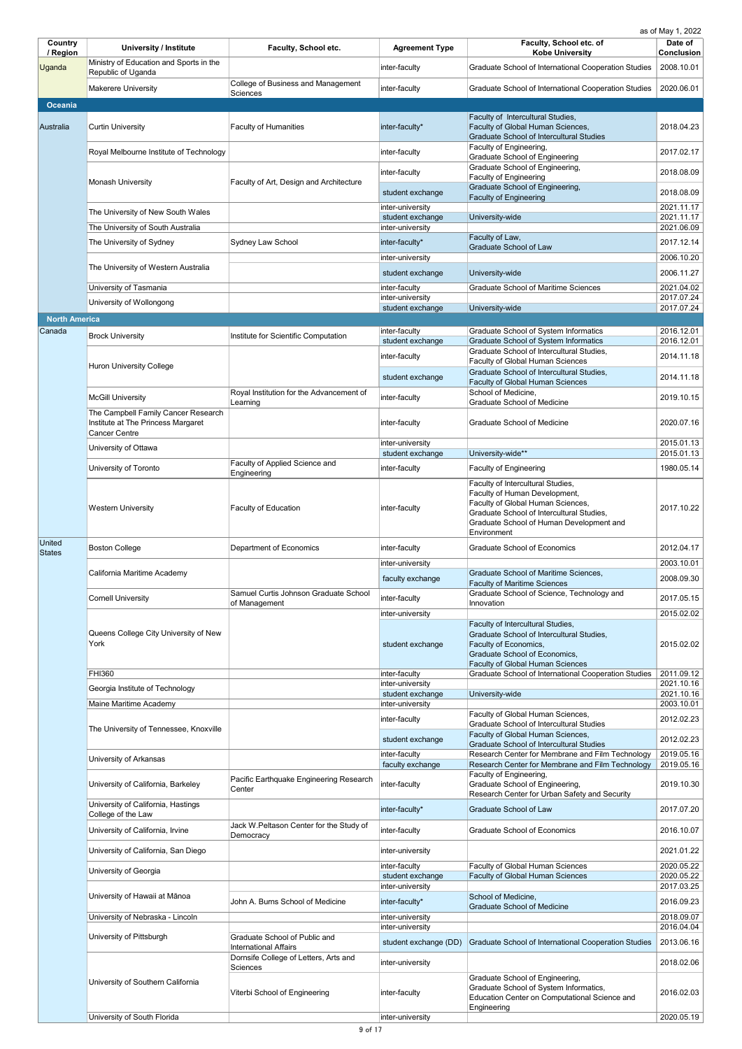| Country<br>/ Region  | <b>University / Institute</b>                                   | <b>Faculty, School etc.</b>                                           | <b>Agreement Type</b>                | Faculty, School etc. of<br><b>Kobe University</b>                                                                                                                                                               | Date of<br><b>Conclusion</b> |
|----------------------|-----------------------------------------------------------------|-----------------------------------------------------------------------|--------------------------------------|-----------------------------------------------------------------------------------------------------------------------------------------------------------------------------------------------------------------|------------------------------|
| Uganda               | Ministry of Education and Sports in the<br>Republic of Uganda   |                                                                       | inter-faculty                        | Graduate School of International Cooperation Studies                                                                                                                                                            | 2008.10.01                   |
|                      | <b>Makerere University</b>                                      | College of Business and Management<br><b>Sciences</b>                 | inter-faculty                        | Graduate School of International Cooperation Studies                                                                                                                                                            | 2020.06.01                   |
| <b>Oceania</b>       |                                                                 |                                                                       |                                      |                                                                                                                                                                                                                 |                              |
| Australia            | <b>Curtin University</b>                                        | <b>Faculty of Humanities</b>                                          | inter-faculty*                       | Faculty of Intercultural Studies,<br>Faculty of Global Human Sciences,<br><b>Graduate School of Intercultural Studies</b>                                                                                       | 2018.04.23                   |
|                      | Royal Melbourne Institute of Technology                         |                                                                       | inter-faculty                        | Faculty of Engineering,<br><b>Graduate School of Engineering</b>                                                                                                                                                | 2017.02.17                   |
|                      |                                                                 |                                                                       | inter-faculty                        | Graduate School of Engineering,<br><b>Faculty of Engineering</b>                                                                                                                                                | 2018.08.09                   |
|                      | <b>Monash University</b>                                        | Faculty of Art, Design and Architecture                               | student exchange                     | Graduate School of Engineering,<br><b>Faculty of Engineering</b>                                                                                                                                                | 2018.08.09                   |
|                      | The University of New South Wales                               |                                                                       | inter-university                     |                                                                                                                                                                                                                 | 2021.11.17                   |
|                      | The University of South Australia                               |                                                                       | student exchange<br>inter-university | University-wide                                                                                                                                                                                                 | 2021.11.17<br>2021.06.09     |
|                      | The University of Sydney                                        | <b>Sydney Law School</b>                                              | inter-faculty*                       | Faculty of Law,<br><b>Graduate School of Law</b>                                                                                                                                                                | 2017.12.14                   |
|                      |                                                                 |                                                                       | inter-university                     |                                                                                                                                                                                                                 | 2006.10.20                   |
|                      | The University of Western Australia                             |                                                                       | student exchange                     | University-wide                                                                                                                                                                                                 | 2006.11.27                   |
|                      | University of Tasmania                                          |                                                                       | inter-faculty<br>inter-university    | <b>Graduate School of Maritime Sciences</b>                                                                                                                                                                     | 2021.04.02<br>2017.07.24     |
|                      | University of Wollongong                                        |                                                                       | student exchange                     | University-wide                                                                                                                                                                                                 | 2017.07.24                   |
| <b>North America</b> |                                                                 |                                                                       |                                      |                                                                                                                                                                                                                 |                              |
| Canada               | <b>Brock University</b>                                         | Institute for Scientific Computation                                  | inter-faculty<br>student exchange    | <b>Graduate School of System Informatics</b><br><b>Graduate School of System Informatics</b>                                                                                                                    | 2016.12.01<br>2016.12.01     |
|                      |                                                                 |                                                                       | inter-faculty                        | Graduate School of Intercultural Studies,                                                                                                                                                                       | 2014.11.18                   |
|                      | <b>Huron University College</b>                                 |                                                                       |                                      | <b>Faculty of Global Human Sciences</b><br><b>Graduate School of Intercultural Studies,</b>                                                                                                                     | 2014.11.18                   |
|                      |                                                                 | Royal Institution for the Advancement of                              | student exchange                     | <b>Faculty of Global Human Sciences</b><br>School of Medicine,                                                                                                                                                  |                              |
|                      | <b>McGill University</b><br>The Campbell Family Cancer Research | Learning                                                              | inter-faculty                        | <b>Graduate School of Medicine</b>                                                                                                                                                                              | 2019.10.15                   |
|                      | Institute at The Princess Margaret<br><b>Cancer Centre</b>      |                                                                       | inter-faculty<br>inter-university    | <b>Graduate School of Medicine</b>                                                                                                                                                                              | 2020.07.16<br>2015.01.13     |
|                      | University of Ottawa                                            |                                                                       | student exchange                     | University-wide**                                                                                                                                                                                               | 2015.01.13                   |
|                      | University of Toronto                                           | Faculty of Applied Science and<br>Engineering                         | inter-faculty                        | <b>Faculty of Engineering</b>                                                                                                                                                                                   | 1980.05.14                   |
|                      | <b>Western University</b>                                       | <b>Faculty of Education</b>                                           | inter-faculty                        | Faculty of Intercultural Studies,<br>Faculty of Human Development,<br>Faculty of Global Human Sciences,<br>Graduate School of Intercultural Studies,<br>Graduate School of Human Development and<br>Environment | 2017.10.22                   |
| United<br>States     | <b>Boston College</b>                                           | Department of Economics                                               | inter-faculty                        | <b>Graduate School of Economics</b>                                                                                                                                                                             | 2012.04.17                   |
|                      |                                                                 |                                                                       | inter-university                     |                                                                                                                                                                                                                 | 2003.10.01                   |
|                      | California Maritime Academy                                     |                                                                       | faculty exchange                     | <b>Graduate School of Maritime Sciences,</b><br><b>Faculty of Maritime Sciences</b>                                                                                                                             | 2008.09.30                   |
|                      | <b>Cornell University</b>                                       | Samuel Curtis Johnson Graduate School<br>of Management                | inter-faculty                        | Graduate School of Science, Technology and<br>Innovation                                                                                                                                                        | 2017.05.15                   |
|                      |                                                                 |                                                                       | inter-university                     | Faculty of Intercultural Studies,                                                                                                                                                                               | 2015.02.02                   |
|                      | Queens College City University of New<br>York                   |                                                                       | student exchange                     | Graduate School of Intercultural Studies,<br>Faculty of Economics,<br>Graduate School of Economics,<br><b>Faculty of Global Human Sciences</b>                                                                  | 2015.02.02                   |
|                      | <b>FHI360</b>                                                   |                                                                       | inter-faculty<br>inter-university    | Graduate School of International Cooperation Studies   2011.09.12                                                                                                                                               | 2021.10.16                   |
|                      | Georgia Institute of Technology<br>Maine Maritime Academy       |                                                                       | student exchange<br>inter-university | University-wide                                                                                                                                                                                                 | 2021.10.16<br>2003.10.01     |
|                      |                                                                 |                                                                       | inter-faculty                        | Faculty of Global Human Sciences,                                                                                                                                                                               | 2012.02.23                   |
|                      | The University of Tennessee, Knoxville                          |                                                                       |                                      | <b>Graduate School of Intercultural Studies</b><br>Faculty of Global Human Sciences,                                                                                                                            |                              |
|                      |                                                                 |                                                                       | student exchange<br>inter-faculty    | <b>Graduate School of Intercultural Studies</b><br>Research Center for Membrane and Film Technology                                                                                                             | 2012.02.23<br>2019.05.16     |
|                      | University of Arkansas                                          |                                                                       | faculty exchange                     | Research Center for Membrane and Film Technology                                                                                                                                                                | 2019.05.16                   |
|                      | University of California, Barkeley                              | Pacific Earthquake Engineering Research<br>Center                     | inter-faculty                        | Faculty of Engineering,<br>Graduate School of Engineering,<br>Research Center for Urban Safety and Security                                                                                                     | 2019.10.30                   |
|                      | University of California, Hastings<br>College of the Law        |                                                                       | inter-faculty*                       | <b>Graduate School of Law</b>                                                                                                                                                                                   | 2017.07.20                   |
|                      | University of California, Irvine                                | Jack W.Peltason Center for the Study of<br>Democracy                  | inter-faculty                        | <b>Graduate School of Economics</b>                                                                                                                                                                             | 2016.10.07                   |
|                      | University of California, San Diego                             |                                                                       | inter-university                     |                                                                                                                                                                                                                 | 2021.01.22                   |
|                      | University of Georgia                                           |                                                                       | inter-faculty                        | <b>Faculty of Global Human Sciences</b>                                                                                                                                                                         | 2020.05.22                   |
|                      |                                                                 |                                                                       | student exchange<br>inter-university | <b>Faculty of Global Human Sciences</b>                                                                                                                                                                         | 2020.05.22<br>2017.03.25     |
|                      | University of Hawaii at Mānoa                                   | John A. Burns School of Medicine                                      | inter-faculty*                       | School of Medicine,<br><b>Graduate School of Medicine</b>                                                                                                                                                       | 2016.09.23                   |
|                      | University of Nebraska - Lincoln                                |                                                                       | inter-university                     |                                                                                                                                                                                                                 | 2018.09.07                   |
|                      | University of Pittsburgh                                        | Graduate School of Public and                                         | inter-university                     |                                                                                                                                                                                                                 | 2016.04.04                   |
|                      |                                                                 | <b>International Affairs</b><br>Dornsife College of Letters, Arts and | student exchange (DD)                | <b>Graduate School of International Cooperation Studies</b>                                                                                                                                                     | 2013.06.16                   |
|                      |                                                                 | <b>Sciences</b>                                                       | inter-university                     | Graduate School of Engineering,                                                                                                                                                                                 | 2018.02.06                   |
|                      | University of Southern California                               | Viterbi School of Engineering                                         | inter-faculty                        | Graduate School of System Informatics,<br><b>Education Center on Computational Science and</b><br>Engineering                                                                                                   | 2016.02.03                   |
|                      | University of South Florida                                     |                                                                       | inter-university                     |                                                                                                                                                                                                                 | 2020.05.19                   |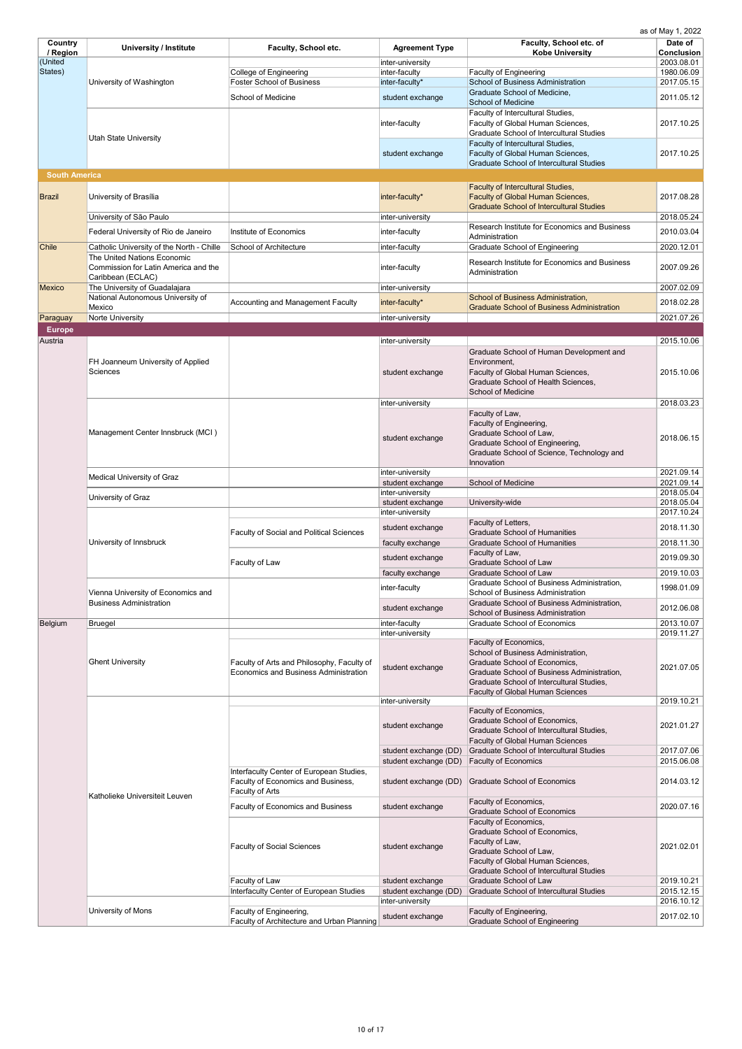| Country              | <b>University / Institute</b>               | <b>Faculty, School etc.</b>                                                                | <b>Agreement Type</b>                | Faculty, School etc. of                                                                  | Date of                  |
|----------------------|---------------------------------------------|--------------------------------------------------------------------------------------------|--------------------------------------|------------------------------------------------------------------------------------------|--------------------------|
| / Region             |                                             |                                                                                            |                                      | <b>Kobe University</b>                                                                   | <b>Conclusion</b>        |
| (United<br>States)   |                                             | College of Engineering                                                                     | inter-university<br>inter-faculty    | <b>Faculty of Engineering</b>                                                            | 2003.08.01<br>1980.06.09 |
|                      | University of Washington                    | <b>Foster School of Business</b>                                                           | inter-faculty*                       | <b>School of Business Administration</b>                                                 | 2017.05.15               |
|                      |                                             |                                                                                            |                                      | Graduate School of Medicine,                                                             |                          |
|                      |                                             | School of Medicine                                                                         | student exchange                     | <b>School of Medicine</b>                                                                | 2011.05.12               |
|                      |                                             |                                                                                            |                                      | Faculty of Intercultural Studies,                                                        |                          |
|                      |                                             |                                                                                            | inter-faculty                        | Faculty of Global Human Sciences,                                                        | 2017.10.25               |
|                      | <b>Utah State University</b>                |                                                                                            |                                      | <b>Graduate School of Intercultural Studies</b>                                          |                          |
|                      |                                             |                                                                                            | student exchange                     | Faculty of Intercultural Studies,<br>Faculty of Global Human Sciences,                   | 2017.10.25               |
|                      |                                             |                                                                                            |                                      | <b>Graduate School of Intercultural Studies</b>                                          |                          |
| <b>South America</b> |                                             |                                                                                            |                                      |                                                                                          |                          |
|                      |                                             |                                                                                            |                                      | <b>Faculty of Intercultural Studies,</b>                                                 |                          |
| Brazil               | University of Brasília                      |                                                                                            | inter-faculty*                       | <b>Faculty of Global Human Sciences,</b>                                                 | 2017.08.28               |
|                      |                                             |                                                                                            |                                      | <b>Graduate School of Intercultural Studies</b>                                          |                          |
|                      | University of São Paulo                     |                                                                                            | inter-university                     |                                                                                          | 2018.05.24               |
|                      | Federal University of Rio de Janeiro        | Institute of Economics                                                                     | inter-faculty                        | Research Institute for Economics and Business<br>Administration                          | 2010.03.04               |
| <b>Chile</b>         | Catholic University of the North - Chille   | <b>School of Architecture</b>                                                              | inter-faculty                        | <b>Graduate School of Engineering</b>                                                    | 2020.12.01               |
|                      | The United Nations Economic                 |                                                                                            |                                      |                                                                                          |                          |
|                      | Commission for Latin America and the        |                                                                                            | inter-faculty                        | Research Institute for Economics and Business<br>Administration                          | 2007.09.26               |
|                      | Caribbean (ECLAC)                           |                                                                                            |                                      |                                                                                          |                          |
| Mexico               | The University of Guadalajara               |                                                                                            | inter-university                     |                                                                                          | 2007.02.09               |
|                      | National Autonomous University of<br>Mexico | <b>Accounting and Management Faculty</b>                                                   | inter-faculty*                       | School of Business Administration,<br><b>Graduate School of Business Administration</b>  | 2018.02.28               |
| Paraguay             | Norte University                            |                                                                                            | inter-university                     |                                                                                          | 2021.07.26               |
| <b>Europe</b>        |                                             |                                                                                            |                                      |                                                                                          |                          |
| Austria              |                                             |                                                                                            | inter-university                     |                                                                                          | 2015.10.06               |
|                      |                                             |                                                                                            |                                      | Graduate School of Human Development and                                                 |                          |
|                      | FH Joanneum University of Applied           |                                                                                            |                                      | Environment,                                                                             |                          |
|                      | Sciences                                    |                                                                                            | student exchange                     | Faculty of Global Human Sciences,                                                        | 2015.10.06               |
|                      |                                             |                                                                                            |                                      | Graduate School of Health Sciences,                                                      |                          |
|                      |                                             |                                                                                            |                                      | <b>School of Medicine</b>                                                                |                          |
|                      |                                             |                                                                                            | inter-university                     | Faculty of Law,                                                                          | 2018.03.23               |
|                      |                                             |                                                                                            |                                      | Faculty of Engineering,                                                                  |                          |
|                      | Management Center Innsbruck (MCI)           |                                                                                            |                                      | Graduate School of Law,                                                                  | 2018.06.15               |
|                      |                                             |                                                                                            | student exchange                     | Graduate School of Engineering,                                                          |                          |
|                      |                                             |                                                                                            |                                      | Graduate School of Science, Technology and                                               |                          |
|                      |                                             |                                                                                            |                                      | Innovation                                                                               |                          |
|                      | <b>Medical University of Graz</b>           |                                                                                            | inter-university<br>student exchange | <b>School of Medicine</b>                                                                | 2021.09.14<br>2021.09.14 |
|                      |                                             |                                                                                            | inter-university                     |                                                                                          | 2018.05.04               |
|                      | University of Graz                          |                                                                                            | student exchange                     | University-wide                                                                          | 2018.05.04               |
|                      | University of Innsbruck                     |                                                                                            | inter-university                     |                                                                                          | 2017.10.24               |
|                      |                                             |                                                                                            | student exchange                     | Faculty of Letters,                                                                      | 2018.11.30               |
|                      |                                             | <b>Faculty of Social and Political Sciences</b>                                            |                                      | <b>Graduate School of Humanities</b><br><b>Graduate School of Humanities</b>             | 2018.11.30               |
|                      |                                             |                                                                                            | faculty exchange                     | Faculty of Law,                                                                          |                          |
|                      |                                             | Faculty of Law                                                                             | student exchange                     | <b>Graduate School of Law</b>                                                            | 2019.09.30               |
|                      |                                             |                                                                                            | faculty exchange                     | Graduate School of Law                                                                   | 2019.10.03               |
|                      |                                             |                                                                                            | inter-faculty                        | Graduate School of Business Administration,                                              | 1998.01.09               |
|                      | Vienna University of Economics and          |                                                                                            |                                      | <b>School of Business Administration</b>                                                 |                          |
|                      | <b>Business Administration</b>              |                                                                                            | student exchange                     | Graduate School of Business Administration,<br><b>School of Business Administration</b>  | 2012.06.08               |
| Belgium              | <b>Bruegel</b>                              |                                                                                            | inter-faculty                        | <b>Graduate School of Economics</b>                                                      | 2013.10.07               |
|                      |                                             |                                                                                            | inter-university                     |                                                                                          | 2019.11.27               |
|                      |                                             |                                                                                            |                                      | Faculty of Economics,                                                                    |                          |
|                      |                                             |                                                                                            |                                      | School of Business Administration,                                                       |                          |
|                      | <b>Ghent University</b>                     | Faculty of Arts and Philosophy, Faculty of<br><b>Economics and Business Administration</b> | student exchange                     | Graduate School of Economics,                                                            | 2021.07.05               |
|                      |                                             |                                                                                            |                                      | Graduate School of Business Administration,<br>Graduate School of Intercultural Studies, |                          |
|                      |                                             |                                                                                            |                                      | <b>Faculty of Global Human Sciences</b>                                                  |                          |
|                      |                                             |                                                                                            | inter-university                     |                                                                                          | 2019.10.21               |
|                      |                                             |                                                                                            |                                      | Faculty of Economics,                                                                    |                          |
|                      |                                             |                                                                                            | student exchange                     | Graduate School of Economics,<br>Graduate School of Intercultural Studies,               | 2021.01.27               |
|                      |                                             |                                                                                            |                                      | <b>Faculty of Global Human Sciences</b>                                                  |                          |
|                      |                                             |                                                                                            | student exchange (DD)                | <b>Graduate School of Intercultural Studies</b>                                          | 2017.07.06               |
|                      |                                             |                                                                                            | student exchange (DD)                | <b>Faculty of Economics</b>                                                              | 2015.06.08               |
|                      |                                             | Interfaculty Center of European Studies,                                                   |                                      |                                                                                          |                          |
|                      |                                             | Faculty of Economics and Business,                                                         | student exchange (DD)                | <b>Graduate School of Economics</b>                                                      | 2014.03.12               |
|                      | Katholieke Universiteit Leuven              | Faculty of Arts                                                                            |                                      |                                                                                          |                          |
|                      |                                             | <b>Faculty of Economics and Business</b>                                                   | student exchange                     | Faculty of Economics,<br><b>Graduate School of Economics</b>                             | 2020.07.16               |
|                      |                                             |                                                                                            |                                      | Faculty of Economics,                                                                    |                          |
|                      |                                             |                                                                                            |                                      | Graduate School of Economics,                                                            |                          |
|                      |                                             | <b>Faculty of Social Sciences</b>                                                          | student exchange                     | Faculty of Law,                                                                          | 2021.02.01               |
|                      |                                             |                                                                                            |                                      | Graduate School of Law,                                                                  |                          |
|                      |                                             |                                                                                            |                                      | Faculty of Global Human Sciences,<br><b>Graduate School of Intercultural Studies</b>     |                          |
|                      |                                             | Faculty of Law                                                                             | student exchange                     | <b>Graduate School of Law</b>                                                            | 2019.10.21               |
|                      |                                             | Interfaculty Center of European Studies                                                    | student exchange (DD)                | <b>Graduate School of Intercultural Studies</b>                                          | 2015.12.15               |
|                      |                                             |                                                                                            | inter-university                     |                                                                                          | 2016.10.12               |
|                      | University of Mons                          | Faculty of Engineering,                                                                    | student exchange                     | Faculty of Engineering,                                                                  | 2017.02.10               |
|                      |                                             | Faculty of Architecture and Urban Planning                                                 |                                      | <b>Graduate School of Engineering</b>                                                    |                          |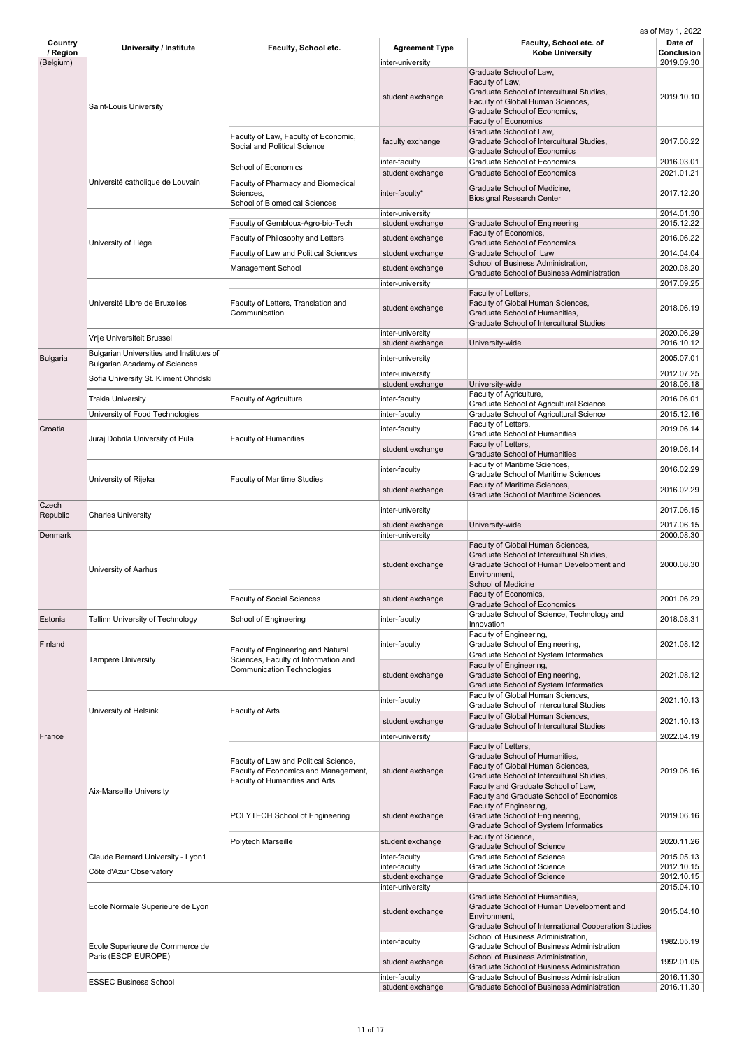| Country               | <b>University / Institute</b>                          | <b>Faculty, School etc.</b>                                                          | <b>Agreement Type</b>                | Faculty, School etc. of                                                                                | Date of                         |
|-----------------------|--------------------------------------------------------|--------------------------------------------------------------------------------------|--------------------------------------|--------------------------------------------------------------------------------------------------------|---------------------------------|
| / Region<br>(Belgium) |                                                        |                                                                                      | inter-university                     | <b>Kobe University</b>                                                                                 | <b>Conclusion</b><br>2019.09.30 |
|                       |                                                        |                                                                                      |                                      | Graduate School of Law,                                                                                |                                 |
|                       |                                                        |                                                                                      |                                      | Faculty of Law,                                                                                        |                                 |
|                       |                                                        |                                                                                      | student exchange                     | Graduate School of Intercultural Studies,<br>Faculty of Global Human Sciences,                         | 2019.10.10                      |
|                       | Saint-Louis University                                 |                                                                                      |                                      | Graduate School of Economics,                                                                          |                                 |
|                       |                                                        |                                                                                      |                                      | <b>Faculty of Economics</b>                                                                            |                                 |
|                       |                                                        | Faculty of Law, Faculty of Economic,                                                 | faculty exchange                     | Graduate School of Law,<br>Graduate School of Intercultural Studies,                                   | 2017.06.22                      |
|                       |                                                        | Social and Political Science                                                         |                                      | <b>Graduate School of Economics</b>                                                                    |                                 |
|                       |                                                        | School of Economics                                                                  | inter-faculty                        | <b>Graduate School of Economics</b>                                                                    | 2016.03.01                      |
|                       |                                                        |                                                                                      | student exchange                     | <b>Graduate School of Economics</b>                                                                    | 2021.01.21                      |
|                       | Université catholique de Louvain                       | <b>Faculty of Pharmacy and Biomedical</b><br>Sciences,                               | inter-faculty*                       | Graduate School of Medicine,                                                                           | 2017.12.20                      |
|                       |                                                        | <b>School of Biomedical Sciences</b>                                                 |                                      | <b>Biosignal Research Center</b>                                                                       |                                 |
|                       |                                                        |                                                                                      | inter-university                     |                                                                                                        | 2014.01.30                      |
|                       |                                                        | Faculty of Gembloux-Agro-bio-Tech                                                    | student exchange                     | <b>Graduate School of Engineering</b><br>Faculty of Economics,                                         | 2015.12.22                      |
|                       | University of Liège                                    | Faculty of Philosophy and Letters                                                    | student exchange                     | <b>Graduate School of Economics</b>                                                                    | 2016.06.22                      |
|                       |                                                        | <b>Faculty of Law and Political Sciences</b>                                         | student exchange                     | Graduate School of Law<br>School of Business Administration,                                           | 2014.04.04                      |
|                       |                                                        | <b>Management School</b>                                                             | student exchange                     | <b>Graduate School of Business Administration</b>                                                      | 2020.08.20                      |
|                       |                                                        |                                                                                      | inter-university                     |                                                                                                        | 2017.09.25                      |
|                       | Université Libre de Bruxelles                          | Faculty of Letters, Translation and                                                  |                                      | Faculty of Letters,<br>Faculty of Global Human Sciences,                                               |                                 |
|                       |                                                        | Communication                                                                        | student exchange                     | Graduate School of Humanities,                                                                         | 2018.06.19                      |
|                       |                                                        |                                                                                      |                                      | <b>Graduate School of Intercultural Studies</b>                                                        |                                 |
|                       | Vrije Universiteit Brussel                             |                                                                                      | inter-university<br>student exchange | University-wide                                                                                        | 2020.06.29<br>2016.10.12        |
|                       | Bulgarian Universities and Institutes of               |                                                                                      |                                      |                                                                                                        |                                 |
| <b>Bulgaria</b>       | <b>Bulgarian Academy of Sciences</b>                   |                                                                                      | inter-university                     |                                                                                                        | 2005.07.01                      |
|                       | Sofia University St. Kliment Ohridski                  |                                                                                      | inter-university                     |                                                                                                        | 2012.07.25                      |
|                       |                                                        |                                                                                      | student exchange                     | University-wide<br>Faculty of Agriculture,                                                             | 2018.06.18                      |
|                       | Trakia University                                      | <b>Faculty of Agriculture</b>                                                        | inter-faculty                        | <b>Graduate School of Agricultural Science</b>                                                         | 2016.06.01                      |
|                       | University of Food Technologies                        |                                                                                      | inter-faculty                        | Graduate School of Agricultural Science                                                                | 2015.12.16                      |
| Croatia               |                                                        |                                                                                      | inter-faculty                        | Faculty of Letters,<br><b>Graduate School of Humanities</b>                                            | 2019.06.14                      |
|                       | Juraj Dobrila University of Pula                       | <b>Faculty of Humanities</b>                                                         | student exchange                     | Faculty of Letters,                                                                                    | 2019.06.14                      |
|                       |                                                        |                                                                                      |                                      | <b>Graduate School of Humanities</b>                                                                   |                                 |
|                       |                                                        |                                                                                      | inter-faculty                        | Faculty of Maritime Sciences,<br><b>Graduate School of Maritime Sciences</b>                           | 2016.02.29                      |
|                       | University of Rijeka                                   | <b>Faculty of Maritime Studies</b>                                                   | student exchange                     | Faculty of Maritime Sciences,                                                                          | 2016.02.29                      |
|                       |                                                        |                                                                                      |                                      | <b>Graduate School of Maritime Sciences</b>                                                            |                                 |
| Czech<br>Republic     | <b>Charles University</b>                              |                                                                                      | inter-university                     |                                                                                                        | 2017.06.15                      |
|                       |                                                        |                                                                                      | student exchange                     | University-wide                                                                                        | 2017.06.15                      |
| Denmark               |                                                        |                                                                                      | inter-university                     |                                                                                                        | 2000.08.30                      |
|                       |                                                        |                                                                                      |                                      | Faculty of Global Human Sciences,<br>Graduate School of Intercultural Studies,                         |                                 |
|                       | University of Aarhus                                   |                                                                                      | student exchange                     | Graduate School of Human Development and                                                               | 2000.08.30                      |
|                       |                                                        |                                                                                      |                                      | Environment,<br><b>School of Medicine</b>                                                              |                                 |
|                       |                                                        |                                                                                      |                                      | Faculty of Economics,                                                                                  |                                 |
|                       |                                                        | <b>Faculty of Social Sciences</b>                                                    | student exchange                     | <b>Graduate School of Economics</b>                                                                    | 2001.06.29                      |
| Estonia               | <b>Tallinn University of Technology</b>                | <b>School of Engineering</b>                                                         | inter-faculty                        | Graduate School of Science, Technology and<br>Innovation                                               | 2018.08.31                      |
|                       |                                                        |                                                                                      |                                      | Faculty of Engineering,                                                                                |                                 |
| Finland               |                                                        | <b>Faculty of Engineering and Natural</b>                                            | inter-faculty                        | Graduate School of Engineering,                                                                        | 2021.08.12                      |
|                       | <b>Tampere University</b>                              | Sciences, Faculty of Information and                                                 |                                      | <b>Graduate School of System Informatics</b>                                                           |                                 |
|                       |                                                        | <b>Communication Technologies</b>                                                    | student exchange                     | Faculty of Engineering,<br>Graduate School of Engineering,                                             | 2021.08.12                      |
|                       |                                                        |                                                                                      |                                      | Graduate School of System Informatics                                                                  |                                 |
|                       |                                                        |                                                                                      | inter-faculty                        | Faculty of Global Human Sciences,<br>Graduate School of ntercultural Studies                           | 2021.10.13                      |
|                       | University of Helsinki                                 | Faculty of Arts                                                                      |                                      | Faculty of Global Human Sciences,                                                                      |                                 |
|                       |                                                        |                                                                                      | student exchange                     | <b>Graduate School of Intercultural Studies</b>                                                        | 2021.10.13                      |
| France                |                                                        |                                                                                      | inter-university                     |                                                                                                        | 2022.04.19                      |
|                       |                                                        |                                                                                      |                                      | Faculty of Letters,<br>Graduate School of Humanities,                                                  |                                 |
|                       |                                                        | Faculty of Law and Political Science,<br><b>Faculty of Economics and Management,</b> | student exchange                     | Faculty of Global Human Sciences,                                                                      | 2019.06.16                      |
|                       |                                                        | Faculty of Humanities and Arts                                                       |                                      | Graduate School of Intercultural Studies,                                                              |                                 |
|                       | <b>Aix-Marseille University</b>                        |                                                                                      |                                      | Faculty and Graduate School of Law,<br>Faculty and Graduate School of Economics                        |                                 |
|                       |                                                        |                                                                                      |                                      | Faculty of Engineering,                                                                                |                                 |
|                       |                                                        | POLYTECH School of Engineering                                                       | student exchange                     | Graduate School of Engineering,<br><b>Graduate School of System Informatics</b>                        | 2019.06.16                      |
|                       |                                                        |                                                                                      |                                      | Faculty of Science,                                                                                    |                                 |
|                       |                                                        | Polytech Marseille                                                                   | student exchange                     | <b>Graduate School of Science</b>                                                                      | 2020.11.26                      |
|                       | Claude Bernard University - Lyon1                      |                                                                                      | inter-faculty                        | <b>Graduate School of Science</b><br><b>Graduate School of Science</b>                                 | 2015.05.13<br>2012.10.15        |
|                       | Côte d'Azur Observatory                                |                                                                                      | inter-faculty<br>student exchange    | <b>Graduate School of Science</b>                                                                      | 2012.10.15                      |
|                       |                                                        |                                                                                      | inter-university                     |                                                                                                        | 2015.04.10                      |
|                       |                                                        |                                                                                      |                                      | Graduate School of Humanities,                                                                         |                                 |
|                       | Ecole Normale Superieure de Lyon                       |                                                                                      | student exchange                     | Graduate School of Human Development and<br>Environment,                                               | 2015.04.10                      |
|                       |                                                        |                                                                                      |                                      | Graduate School of International Cooperation Studies                                                   |                                 |
|                       |                                                        |                                                                                      | inter-faculty                        | School of Business Administration,                                                                     | 1982.05.19                      |
|                       | Ecole Superieure de Commerce de<br>Paris (ESCP EUROPE) |                                                                                      |                                      | <b>Graduate School of Business Administration</b><br>School of Business Administration,                |                                 |
|                       |                                                        |                                                                                      | student exchange                     | <b>Graduate School of Business Administration</b>                                                      | 1992.01.05                      |
|                       | <b>ESSEC Business School</b>                           |                                                                                      | inter-faculty<br>student exchange    | <b>Graduate School of Business Administration</b><br><b>Graduate School of Business Administration</b> | 2016.11.30<br>2016.11.30        |
|                       |                                                        |                                                                                      |                                      |                                                                                                        |                                 |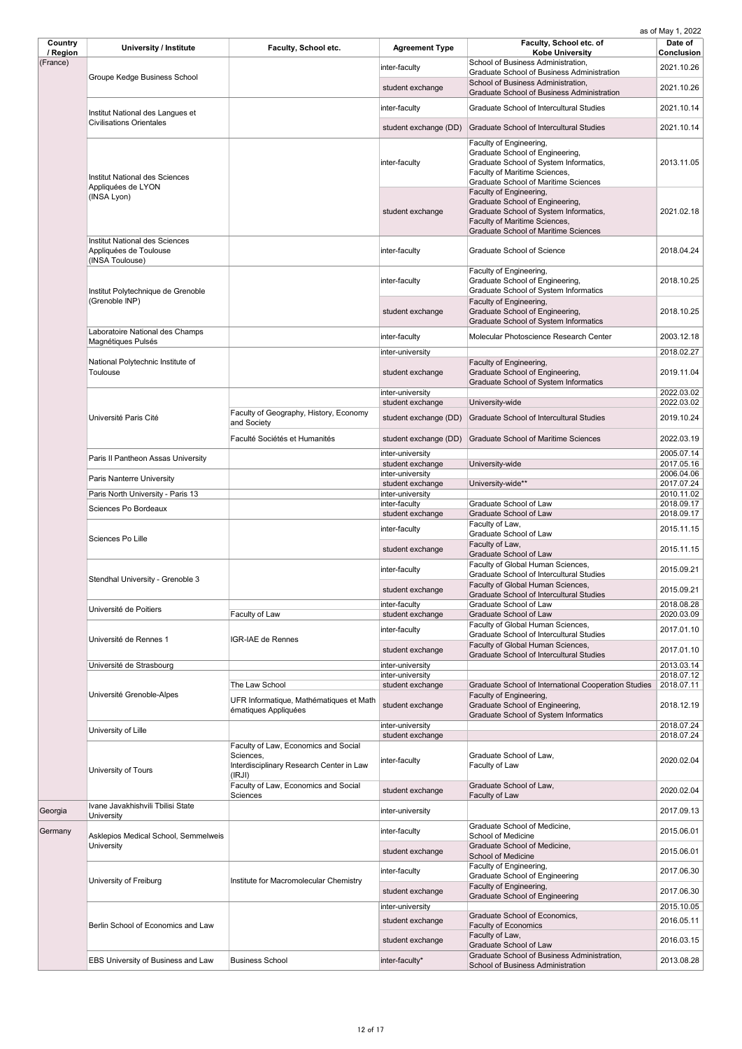| Country<br>/ Region | <b>University / Institute</b>                                                      | Faculty, School etc.                                            | <b>Agreement Type</b>                | Faculty, School etc. of<br><b>Kobe University</b>                                                                                                                                    | Date of<br><b>Conclusion</b> |
|---------------------|------------------------------------------------------------------------------------|-----------------------------------------------------------------|--------------------------------------|--------------------------------------------------------------------------------------------------------------------------------------------------------------------------------------|------------------------------|
| (France)            |                                                                                    |                                                                 | inter-faculty                        | School of Business Administration,                                                                                                                                                   | 2021.10.26                   |
|                     | <b>Groupe Kedge Business School</b>                                                |                                                                 | student exchange                     | <b>Graduate School of Business Administration</b><br>School of Business Administration,<br><b>Graduate School of Business Administration</b>                                         | 2021.10.26                   |
|                     | Institut National des Langues et                                                   |                                                                 | inter-faculty                        | <b>Graduate School of Intercultural Studies</b>                                                                                                                                      | 2021.10.14                   |
|                     | <b>Civilisations Orientales</b>                                                    |                                                                 | student exchange (DD)                | <b>Graduate School of Intercultural Studies</b>                                                                                                                                      | 2021.10.14                   |
|                     |                                                                                    |                                                                 |                                      | Faculty of Engineering,                                                                                                                                                              |                              |
|                     | Institut National des Sciences<br>Appliquées de LYON                               |                                                                 | inter-faculty                        | Graduate School of Engineering,<br>Graduate School of System Informatics,<br>Faculty of Maritime Sciences,<br><b>Graduate School of Maritime Sciences</b>                            | 2013.11.05                   |
|                     | (INSA Lyon)                                                                        |                                                                 | student exchange                     | Faculty of Engineering,<br>Graduate School of Engineering,<br>Graduate School of System Informatics,<br>Faculty of Maritime Sciences,<br><b>Graduate School of Maritime Sciences</b> | 2021.02.18                   |
|                     | <b>Institut National des Sciences</b><br>Appliquées de Toulouse<br>(INSA Toulouse) |                                                                 | inter-faculty                        | <b>Graduate School of Science</b>                                                                                                                                                    | 2018.04.24                   |
|                     | Institut Polytechnique de Grenoble                                                 |                                                                 | inter-faculty                        | Faculty of Engineering,<br>Graduate School of Engineering,<br><b>Graduate School of System Informatics</b>                                                                           | 2018.10.25                   |
|                     | (Grenoble INP)                                                                     |                                                                 | student exchange                     | Faculty of Engineering,<br>Graduate School of Engineering,<br><b>Graduate School of System Informatics</b>                                                                           | 2018.10.25                   |
|                     | Laboratoire National des Champs<br>Magnétiques Pulsés                              |                                                                 | inter-faculty                        | Molecular Photoscience Research Center                                                                                                                                               | 2003.12.18                   |
|                     |                                                                                    |                                                                 | inter-university                     |                                                                                                                                                                                      | 2018.02.27                   |
|                     | National Polytechnic Institute of<br><b>Toulouse</b>                               |                                                                 | student exchange                     | Faculty of Engineering,<br>Graduate School of Engineering,<br><b>Graduate School of System Informatics</b>                                                                           | 2019.11.04                   |
|                     |                                                                                    |                                                                 | inter-university<br>student exchange | University-wide                                                                                                                                                                      | 2022.03.02<br>2022.03.02     |
|                     | Université Paris Cité                                                              | Faculty of Geography, History, Economy<br>and Society           | student exchange (DD)                | <b>Graduate School of Intercultural Studies</b>                                                                                                                                      | 2019.10.24                   |
|                     |                                                                                    | Faculté Sociétés et Humanités                                   | student exchange (DD)                | <b>Graduate School of Maritime Sciences</b>                                                                                                                                          | 2022.03.19                   |
|                     | Paris II Pantheon Assas University                                                 |                                                                 | inter-university<br>student exchange | University-wide                                                                                                                                                                      | 2005.07.14<br>2017.05.16     |
|                     | <b>Paris Nanterre University</b>                                                   |                                                                 | inter-university                     |                                                                                                                                                                                      | 2006.04.06                   |
|                     | Paris North University - Paris 13                                                  |                                                                 | student exchange<br>inter-university | University-wide**                                                                                                                                                                    | 2017.07.24<br>2010.11.02     |
|                     | Sciences Po Bordeaux                                                               |                                                                 | inter-faculty                        | <b>Graduate School of Law</b>                                                                                                                                                        | 2018.09.17                   |
|                     |                                                                                    |                                                                 | student exchange                     | <b>Graduate School of Law</b>                                                                                                                                                        | 2018.09.17                   |
|                     | Sciences Po Lille                                                                  |                                                                 | inter-faculty                        | Faculty of Law,<br><b>Graduate School of Law</b><br>Faculty of Law,                                                                                                                  | 2015.11.15                   |
|                     |                                                                                    |                                                                 | student exchange                     | <b>Graduate School of Law</b><br>Faculty of Global Human Sciences,                                                                                                                   | 2015.11.15                   |
|                     | Stendhal University - Grenoble 3                                                   |                                                                 | inter-faculty                        | <b>Graduate School of Intercultural Studies</b><br>Faculty of Global Human Sciences,                                                                                                 | 2015.09.21                   |
|                     |                                                                                    |                                                                 | student exchange                     | <b>Graduate School of Intercultural Studies</b>                                                                                                                                      | 2015.09.21                   |
|                     | Université de Poitiers                                                             | Faculty of Law                                                  | inter-faculty<br>student exchange    | <b>Graduate School of Law</b><br><b>Graduate School of Law</b>                                                                                                                       | 2018.08.28<br>2020.03.09     |
|                     |                                                                                    |                                                                 | inter-faculty                        | Faculty of Global Human Sciences,                                                                                                                                                    | 2017.01.10                   |
|                     | Université de Rennes 1                                                             | IGR-IAE de Rennes                                               |                                      | <b>Graduate School of Intercultural Studies</b><br>Faculty of Global Human Sciences,                                                                                                 |                              |
|                     |                                                                                    |                                                                 | student exchange                     | <b>Graduate School of Intercultural Studies</b>                                                                                                                                      | 2017.01.10                   |
|                     | Université de Strasbourg                                                           |                                                                 | inter-university<br>inter-university |                                                                                                                                                                                      | 2013.03.14<br>2018.07.12     |
|                     |                                                                                    | The Law School                                                  | student exchange                     | <b>Graduate School of International Cooperation Studies</b>                                                                                                                          | 2018.07.11                   |
|                     | Université Grenoble-Alpes                                                          | UFR Informatique, Mathématiques et Math<br>ématiques Appliquées | student exchange                     | Faculty of Engineering,<br>Graduate School of Engineering,<br><b>Graduate School of System Informatics</b>                                                                           | 2018.12.19                   |
|                     | University of Lille                                                                |                                                                 | inter-university                     |                                                                                                                                                                                      | 2018.07.24                   |
|                     |                                                                                    | Faculty of Law, Economics and Social                            | student exchange                     |                                                                                                                                                                                      | 2018.07.24                   |
|                     | University of Tours                                                                | Sciences,<br>Interdisciplinary Research Center in Law<br>(IRJI) | inter-faculty                        | Graduate School of Law,<br>Faculty of Law                                                                                                                                            | 2020.02.04                   |
|                     |                                                                                    | Faculty of Law, Economics and Social<br>Sciences                | student exchange                     | Graduate School of Law,<br>Faculty of Law                                                                                                                                            | 2020.02.04                   |
| Georgia             | Ivane Javakhishvili Tbilisi State<br>University                                    |                                                                 | inter-university                     |                                                                                                                                                                                      | 2017.09.13                   |
| Germany             | Asklepios Medical School, Semmelweis                                               |                                                                 | inter-faculty                        | Graduate School of Medicine,<br><b>School of Medicine</b>                                                                                                                            | 2015.06.01                   |
|                     | University                                                                         |                                                                 | student exchange                     | Graduate School of Medicine,<br><b>School of Medicine</b>                                                                                                                            | 2015.06.01                   |
|                     | University of Freiburg                                                             | Institute for Macromolecular Chemistry                          | inter-faculty                        | Faculty of Engineering,<br><b>Graduate School of Engineering</b>                                                                                                                     | 2017.06.30                   |
|                     |                                                                                    |                                                                 | student exchange                     | Faculty of Engineering,<br><b>Graduate School of Engineering</b>                                                                                                                     | 2017.06.30                   |
|                     |                                                                                    |                                                                 | inter-university                     |                                                                                                                                                                                      | 2015.10.05                   |
|                     | Berlin School of Economics and Law                                                 |                                                                 | student exchange                     | Graduate School of Economics,<br><b>Faculty of Economics</b>                                                                                                                         | 2016.05.11                   |
|                     |                                                                                    |                                                                 | student exchange                     | Faculty of Law,<br><b>Graduate School of Law</b>                                                                                                                                     | 2016.03.15                   |
|                     | <b>EBS University of Business and Law</b>                                          | <b>Business School</b>                                          | inter-faculty*                       | Graduate School of Business Administration,<br>School of Business Administration                                                                                                     | 2013.08.28                   |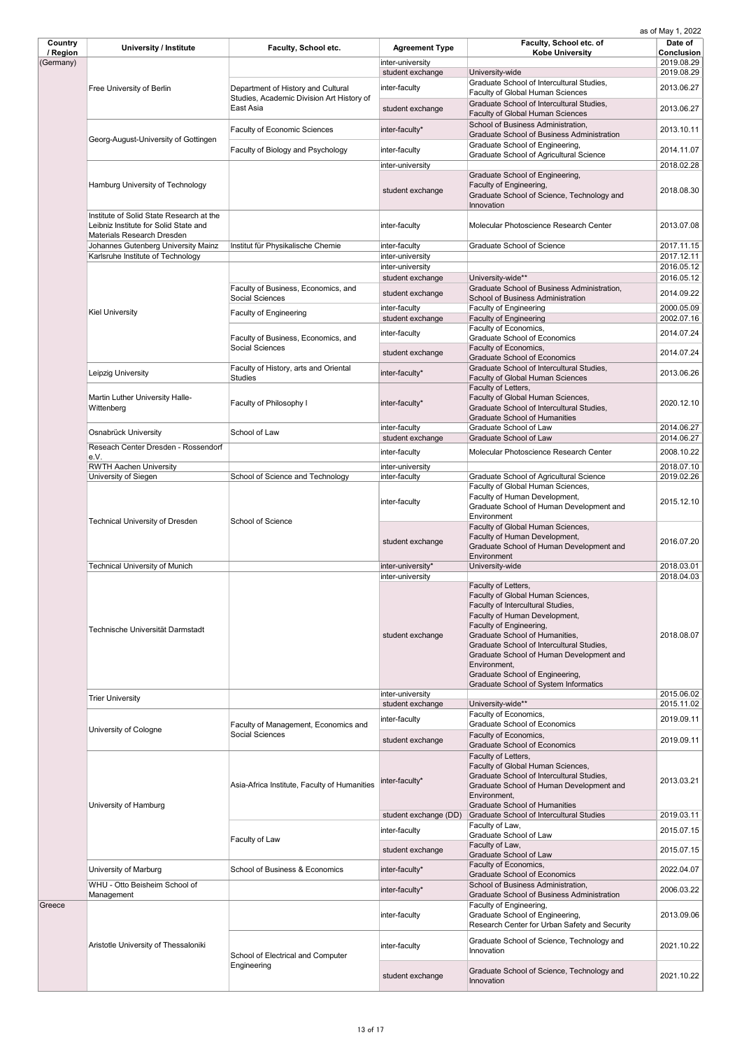| Country<br>/ Region | <b>University / Institute</b>                                                                                          | Faculty, School etc.                                                            | <b>Agreement Type</b>                | Faculty, School etc. of<br><b>Kobe University</b>                                                                                                                                                                                                                                                                                                                                       | Date of<br><b>Conclusion</b> |
|---------------------|------------------------------------------------------------------------------------------------------------------------|---------------------------------------------------------------------------------|--------------------------------------|-----------------------------------------------------------------------------------------------------------------------------------------------------------------------------------------------------------------------------------------------------------------------------------------------------------------------------------------------------------------------------------------|------------------------------|
| (Germany)           |                                                                                                                        |                                                                                 | inter-university                     |                                                                                                                                                                                                                                                                                                                                                                                         | 2019.08.29                   |
|                     | <b>Free University of Berlin</b>                                                                                       |                                                                                 | student exchange                     | University-wide<br>Graduate School of Intercultural Studies,                                                                                                                                                                                                                                                                                                                            | 2019.08.29                   |
|                     |                                                                                                                        | Department of History and Cultural<br>Studies, Academic Division Art History of | inter-faculty                        | <b>Faculty of Global Human Sciences</b>                                                                                                                                                                                                                                                                                                                                                 | 2013.06.27                   |
|                     |                                                                                                                        | East Asia                                                                       | student exchange                     | Graduate School of Intercultural Studies,<br><b>Faculty of Global Human Sciences</b>                                                                                                                                                                                                                                                                                                    | 2013.06.27                   |
|                     | Georg-August-University of Gottingen                                                                                   | <b>Faculty of Economic Sciences</b>                                             | inter-faculty*                       | School of Business Administration,<br><b>Graduate School of Business Administration</b>                                                                                                                                                                                                                                                                                                 | 2013.10.11                   |
|                     |                                                                                                                        | Faculty of Biology and Psychology                                               | inter-faculty                        | Graduate School of Engineering,<br><b>Graduate School of Agricultural Science</b>                                                                                                                                                                                                                                                                                                       | 2014.11.07                   |
|                     |                                                                                                                        |                                                                                 | inter-university                     |                                                                                                                                                                                                                                                                                                                                                                                         | 2018.02.28                   |
|                     | Hamburg University of Technology                                                                                       |                                                                                 | student exchange                     | Graduate School of Engineering,<br>Faculty of Engineering,<br>Graduate School of Science, Technology and<br>Innovation                                                                                                                                                                                                                                                                  | 2018.08.30                   |
|                     | Institute of Solid State Research at the<br>Leibniz Institute for Solid State and<br><b>Materials Research Dresden</b> |                                                                                 | inter-faculty                        | Molecular Photoscience Research Center                                                                                                                                                                                                                                                                                                                                                  | 2013.07.08                   |
|                     | Johannes Gutenberg University Mainz                                                                                    | Institut für Physikalische Chemie                                               | inter-faculty                        | <b>Graduate School of Science</b>                                                                                                                                                                                                                                                                                                                                                       | 2017.11.15                   |
|                     | Karlsruhe Institute of Technology                                                                                      |                                                                                 | inter-university<br>inter-university |                                                                                                                                                                                                                                                                                                                                                                                         | 2017.12.11<br>2016.05.12     |
|                     |                                                                                                                        |                                                                                 | student exchange                     | University-wide**                                                                                                                                                                                                                                                                                                                                                                       | 2016.05.12                   |
|                     |                                                                                                                        | Faculty of Business, Economics, and<br>Social Sciences                          | student exchange                     | Graduate School of Business Administration,<br><b>School of Business Administration</b>                                                                                                                                                                                                                                                                                                 | 2014.09.22                   |
|                     | <b>Kiel University</b>                                                                                                 | <b>Faculty of Engineering</b>                                                   | inter-faculty                        | <b>Faculty of Engineering</b>                                                                                                                                                                                                                                                                                                                                                           | 2000.05.09                   |
|                     |                                                                                                                        |                                                                                 | student exchange                     | <b>Faculty of Engineering</b><br>Faculty of Economics,                                                                                                                                                                                                                                                                                                                                  | 2002.07.16<br>2014.07.24     |
|                     |                                                                                                                        | Faculty of Business, Economics, and<br><b>Social Sciences</b>                   | inter-faculty<br>student exchange    | <b>Graduate School of Economics</b><br>Faculty of Economics,                                                                                                                                                                                                                                                                                                                            | 2014.07.24                   |
|                     |                                                                                                                        | Faculty of History, arts and Oriental                                           |                                      | <b>Graduate School of Economics</b><br>Graduate School of Intercultural Studies,                                                                                                                                                                                                                                                                                                        |                              |
|                     | Leipzig University                                                                                                     | <b>Studies</b>                                                                  | inter-faculty*                       | <b>Faculty of Global Human Sciences</b><br>Faculty of Letters,                                                                                                                                                                                                                                                                                                                          | 2013.06.26                   |
|                     | Martin Luther University Halle-<br>Wittenberg                                                                          | Faculty of Philosophy I                                                         | inter-faculty*                       | Faculty of Global Human Sciences,<br>Graduate School of Intercultural Studies,<br><b>Graduate School of Humanities</b>                                                                                                                                                                                                                                                                  | 2020.12.10                   |
|                     | Osnabrück University                                                                                                   | School of Law                                                                   | inter-faculty<br>student exchange    | <b>Graduate School of Law</b><br><b>Graduate School of Law</b>                                                                                                                                                                                                                                                                                                                          | 2014.06.27<br>2014.06.27     |
|                     | Reseach Center Dresden - Rossendorf                                                                                    |                                                                                 | inter-faculty                        | Molecular Photoscience Research Center                                                                                                                                                                                                                                                                                                                                                  | 2008.10.22                   |
|                     | e.V.<br><b>RWTH Aachen University</b>                                                                                  |                                                                                 | inter-university                     |                                                                                                                                                                                                                                                                                                                                                                                         | 2018.07.10                   |
|                     | University of Siegen                                                                                                   | School of Science and Technology                                                | inter-faculty                        | <b>Graduate School of Agricultural Science</b>                                                                                                                                                                                                                                                                                                                                          | 2019.02.26                   |
|                     | <b>Technical University of Dresden</b>                                                                                 | <b>School of Science</b>                                                        | inter-faculty                        | Faculty of Global Human Sciences,<br>Faculty of Human Development,<br>Graduate School of Human Development and<br>Environment                                                                                                                                                                                                                                                           | 2015.12.10                   |
|                     |                                                                                                                        |                                                                                 | student exchange                     | Faculty of Global Human Sciences,<br>Faculty of Human Development,<br>Graduate School of Human Development and<br>Environment                                                                                                                                                                                                                                                           | 2016.07.20                   |
|                     | <b>Technical University of Munich</b>                                                                                  |                                                                                 | inter-university*                    | University-wide                                                                                                                                                                                                                                                                                                                                                                         | 2018.03.01                   |
|                     | Technische Universität Darmstadt                                                                                       |                                                                                 | inter-university<br>student exchange | Faculty of Letters,<br>Faculty of Global Human Sciences,<br>Faculty of Intercultural Studies,<br>Faculty of Human Development,<br>Faculty of Engineering,<br>Graduate School of Humanities,<br>Graduate School of Intercultural Studies,<br>Graduate School of Human Development and<br>Environment,<br>Graduate School of Engineering,<br><b>Graduate School of System Informatics</b> | 2018.04.03<br>2018.08.07     |
|                     | <b>Trier University</b>                                                                                                |                                                                                 | inter-university<br>student exchange | University-wide**                                                                                                                                                                                                                                                                                                                                                                       | 2015.06.02<br>2015.11.02     |
|                     |                                                                                                                        |                                                                                 | inter-faculty                        | Faculty of Economics,<br><b>Graduate School of Economics</b>                                                                                                                                                                                                                                                                                                                            | 2019.09.11                   |
|                     | University of Cologne                                                                                                  | Faculty of Management, Economics and<br><b>Social Sciences</b>                  | student exchange                     | Faculty of Economics,                                                                                                                                                                                                                                                                                                                                                                   | 2019.09.11                   |
|                     | University of Hamburg                                                                                                  | Asia-Africa Institute, Faculty of Humanities                                    | inter-faculty*                       | <b>Graduate School of Economics</b><br>Faculty of Letters,<br>Faculty of Global Human Sciences,<br>Graduate School of Intercultural Studies,<br>Graduate School of Human Development and<br>Environment,<br><b>Graduate School of Humanities</b>                                                                                                                                        | 2013.03.21                   |
|                     |                                                                                                                        |                                                                                 | student exchange (DD)                | <b>Graduate School of Intercultural Studies</b>                                                                                                                                                                                                                                                                                                                                         | 2019.03.11                   |
|                     |                                                                                                                        |                                                                                 | inter-faculty                        | Faculty of Law,<br><b>Graduate School of Law</b>                                                                                                                                                                                                                                                                                                                                        | 2015.07.15                   |
|                     |                                                                                                                        | Faculty of Law                                                                  | student exchange                     | Faculty of Law,<br><b>Graduate School of Law</b>                                                                                                                                                                                                                                                                                                                                        | 2015.07.15                   |
|                     | University of Marburg                                                                                                  | <b>School of Business &amp; Economics</b>                                       | inter-faculty*                       | Faculty of Economics,<br><b>Graduate School of Economics</b>                                                                                                                                                                                                                                                                                                                            | 2022.04.07                   |
|                     | WHU - Otto Beisheim School of                                                                                          |                                                                                 | inter-faculty*                       | School of Business Administration,                                                                                                                                                                                                                                                                                                                                                      | 2006.03.22                   |
| Greece              | Management                                                                                                             |                                                                                 |                                      | <b>Graduate School of Business Administration</b><br>Faculty of Engineering,                                                                                                                                                                                                                                                                                                            |                              |
|                     | Aristotle University of Thessaloniki                                                                                   |                                                                                 | inter-faculty                        | Graduate School of Engineering,<br>Research Center for Urban Safety and Security                                                                                                                                                                                                                                                                                                        | 2013.09.06                   |
|                     |                                                                                                                        | School of Electrical and Computer<br>Engineering                                | inter-faculty                        | Graduate School of Science, Technology and<br>Innovation                                                                                                                                                                                                                                                                                                                                | 2021.10.22                   |
|                     |                                                                                                                        |                                                                                 | student exchange                     | Graduate School of Science, Technology and<br>Innovation                                                                                                                                                                                                                                                                                                                                | 2021.10.22                   |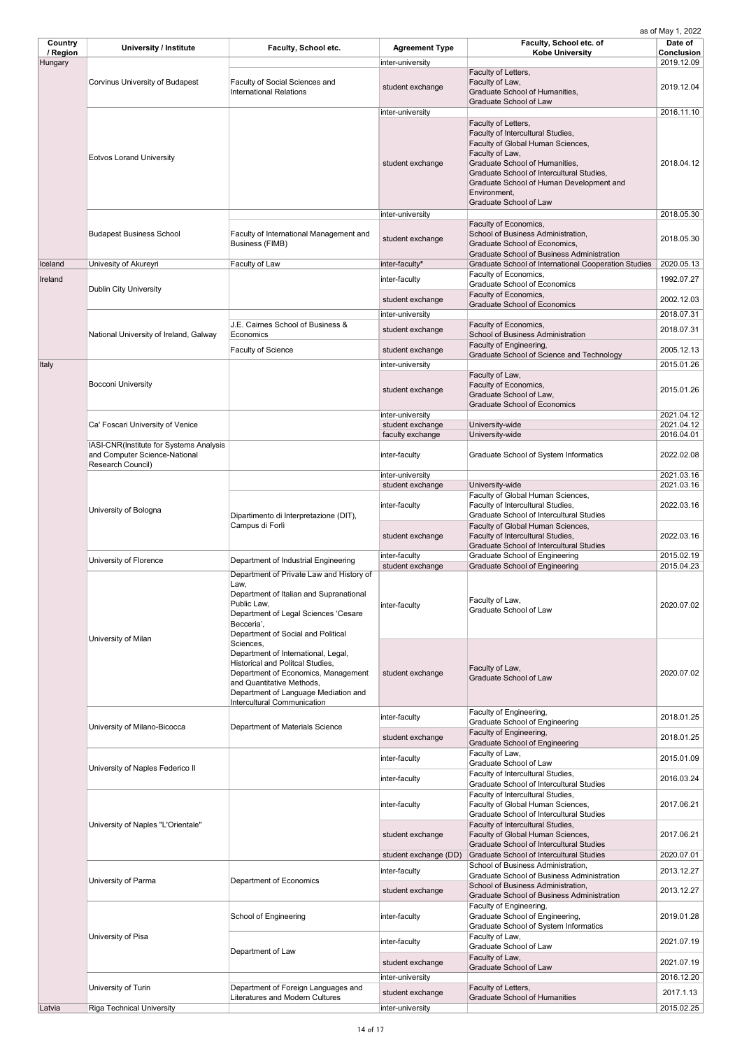| Country<br>/ Region<br>Hungary | <b>University / Institute</b>                                                                 | <b>Faculty, School etc.</b>                                                                                                                                                                                                                   | <b>Agreement Type</b><br>inter-university | Faculty, School etc. of<br><b>Kobe University</b>                                                                                                                                                                                                                                            | Date of<br><b>Conclusion</b><br>2019.12.09 |
|--------------------------------|-----------------------------------------------------------------------------------------------|-----------------------------------------------------------------------------------------------------------------------------------------------------------------------------------------------------------------------------------------------|-------------------------------------------|----------------------------------------------------------------------------------------------------------------------------------------------------------------------------------------------------------------------------------------------------------------------------------------------|--------------------------------------------|
|                                | <b>Corvinus University of Budapest</b>                                                        | Faculty of Social Sciences and<br><b>International Relations</b>                                                                                                                                                                              | student exchange                          | Faculty of Letters,<br>Faculty of Law,<br>Graduate School of Humanities,<br><b>Graduate School of Law</b>                                                                                                                                                                                    | 2019.12.04                                 |
|                                | <b>Eotvos Lorand University</b>                                                               |                                                                                                                                                                                                                                               | inter-university<br>student exchange      | Faculty of Letters,<br>Faculty of Intercultural Studies,<br>Faculty of Global Human Sciences,<br>Faculty of Law,<br>Graduate School of Humanities,<br>Graduate School of Intercultural Studies,<br>Graduate School of Human Development and<br>Environment,<br><b>Graduate School of Law</b> | 2016.11.10<br>2018.04.12                   |
|                                | <b>Budapest Business School</b>                                                               | Faculty of International Management and<br><b>Business (FIMB)</b>                                                                                                                                                                             | inter-university<br>student exchange      | Faculty of Economics,<br>School of Business Administration,<br>Graduate School of Economics,                                                                                                                                                                                                 | 2018.05.30<br>2018.05.30                   |
| Iceland                        | Univesity of Akureyri                                                                         | Faculty of Law                                                                                                                                                                                                                                | inter-faculty*                            | <b>Graduate School of Business Administration</b><br><b>Graduate School of International Cooperation Studies</b>                                                                                                                                                                             | 2020.05.13                                 |
| Ireland                        | <b>Dublin City University</b>                                                                 |                                                                                                                                                                                                                                               | inter-faculty                             | Faculty of Economics,<br><b>Graduate School of Economics</b><br>Faculty of Economics,                                                                                                                                                                                                        | 1992.07.27                                 |
|                                |                                                                                               |                                                                                                                                                                                                                                               | student exchange                          | <b>Graduate School of Economics</b>                                                                                                                                                                                                                                                          | 2002.12.03                                 |
|                                |                                                                                               | J.E. Cairnes School of Business &                                                                                                                                                                                                             | inter-university                          |                                                                                                                                                                                                                                                                                              | 2018.07.31                                 |
|                                | National University of Ireland, Galway                                                        | Economics                                                                                                                                                                                                                                     | student exchange                          | Faculty of Economics,<br>School of Business Administration<br>Faculty of Engineering,                                                                                                                                                                                                        | 2018.07.31                                 |
|                                |                                                                                               | <b>Faculty of Science</b>                                                                                                                                                                                                                     | student exchange                          | Graduate School of Science and Technology                                                                                                                                                                                                                                                    | 2005.12.13                                 |
| Italy                          | <b>Bocconi University</b>                                                                     |                                                                                                                                                                                                                                               | inter-university<br>student exchange      | Faculty of Law,<br>Faculty of Economics,<br>Graduate School of Law,<br><b>Graduate School of Economics</b>                                                                                                                                                                                   | 2015.01.26<br>2015.01.26                   |
|                                | Ca' Foscari University of Venice                                                              |                                                                                                                                                                                                                                               | inter-university<br>student exchange      | University-wide                                                                                                                                                                                                                                                                              | 2021.04.12<br>2021.04.12                   |
|                                |                                                                                               |                                                                                                                                                                                                                                               | faculty exchange                          | University-wide                                                                                                                                                                                                                                                                              | 2016.04.01                                 |
|                                | IASI-CNR(Institute for Systems Analysis<br>and Computer Science-National<br>Research Council) |                                                                                                                                                                                                                                               | inter-faculty                             | <b>Graduate School of System Informatics</b>                                                                                                                                                                                                                                                 | 2022.02.08                                 |
|                                |                                                                                               |                                                                                                                                                                                                                                               | inter-university<br>student exchange      | University-wide                                                                                                                                                                                                                                                                              | 2021.03.16<br>2021.03.16                   |
|                                | University of Bologna                                                                         | Dipartimento di Interpretazione (DIT),<br>Campus di Forlì                                                                                                                                                                                     | inter-faculty                             | Faculty of Global Human Sciences,<br>Faculty of Intercultural Studies,<br><b>Graduate School of Intercultural Studies</b>                                                                                                                                                                    | 2022.03.16                                 |
|                                |                                                                                               |                                                                                                                                                                                                                                               | student exchange                          | Faculty of Global Human Sciences,<br>Faculty of Intercultural Studies,<br><b>Graduate School of Intercultural Studies</b>                                                                                                                                                                    | 2022.03.16                                 |
|                                | University of Florence                                                                        | Department of Industrial Engineering                                                                                                                                                                                                          | inter-faculty                             | <b>Graduate School of Engineering</b>                                                                                                                                                                                                                                                        | 2015.02.19                                 |
|                                |                                                                                               | Department of Private Law and History of                                                                                                                                                                                                      | student exchange                          | <b>Graduate School of Engineering</b>                                                                                                                                                                                                                                                        | 2015.04.23                                 |
|                                | University of Milan                                                                           | Law,<br>Department of Italian and Supranational<br>Public Law,<br>Department of Legal Sciences 'Cesare<br>Becceria',<br>Department of Social and Political                                                                                    | inter-faculty                             | Faculty of Law,<br><b>Graduate School of Law</b>                                                                                                                                                                                                                                             | 2020.07.02                                 |
|                                |                                                                                               | Sciences,<br>Department of International, Legal,<br><b>Historical and Politcal Studies,</b><br>Department of Economics, Management<br>and Quantitative Methods,<br>Department of Language Mediation and<br><b>Intercultural Communication</b> | student exchange                          | Faculty of Law,<br><b>Graduate School of Law</b>                                                                                                                                                                                                                                             | 2020.07.02                                 |
|                                |                                                                                               |                                                                                                                                                                                                                                               | inter-faculty                             | Faculty of Engineering,<br><b>Graduate School of Engineering</b>                                                                                                                                                                                                                             | 2018.01.25                                 |
|                                | University of Milano-Bicocca                                                                  | <b>Department of Materials Science</b>                                                                                                                                                                                                        | student exchange                          | Faculty of Engineering,                                                                                                                                                                                                                                                                      | 2018.01.25                                 |
|                                |                                                                                               |                                                                                                                                                                                                                                               |                                           | <b>Graduate School of Engineering</b><br>Faculty of Law,                                                                                                                                                                                                                                     |                                            |
|                                | University of Naples Federico II                                                              |                                                                                                                                                                                                                                               | inter-faculty<br>inter-faculty            | Graduate School of Law<br>Faculty of Intercultural Studies,                                                                                                                                                                                                                                  | 2015.01.09<br>2016.03.24                   |
|                                |                                                                                               |                                                                                                                                                                                                                                               | inter-faculty                             | <b>Graduate School of Intercultural Studies</b><br>Faculty of Intercultural Studies,<br>Faculty of Global Human Sciences,<br><b>Graduate School of Intercultural Studies</b>                                                                                                                 | 2017.06.21                                 |
|                                | University of Naples "L'Orientale"                                                            |                                                                                                                                                                                                                                               | student exchange                          | Faculty of Intercultural Studies,<br>Faculty of Global Human Sciences,<br><b>Graduate School of Intercultural Studies</b>                                                                                                                                                                    | 2017.06.21                                 |
|                                |                                                                                               |                                                                                                                                                                                                                                               | student exchange (DD)                     | <b>Graduate School of Intercultural Studies</b><br>School of Business Administration,                                                                                                                                                                                                        | 2020.07.01                                 |
|                                | University of Parma                                                                           | <b>Department of Economics</b>                                                                                                                                                                                                                | inter-faculty<br>student exchange         | <b>Graduate School of Business Administration</b><br>School of Business Administration,                                                                                                                                                                                                      | 2013.12.27<br>2013.12.27                   |
|                                |                                                                                               | <b>School of Engineering</b>                                                                                                                                                                                                                  | inter-faculty                             | <b>Graduate School of Business Administration</b><br>Faculty of Engineering,<br>Graduate School of Engineering,                                                                                                                                                                              | 2019.01.28                                 |
|                                | University of Pisa                                                                            | Department of Law                                                                                                                                                                                                                             | inter-faculty                             | <b>Graduate School of System Informatics</b><br>Faculty of Law,<br>Graduate School of Law                                                                                                                                                                                                    | 2021.07.19                                 |
|                                |                                                                                               |                                                                                                                                                                                                                                               | student exchange                          | Faculty of Law,                                                                                                                                                                                                                                                                              | 2021.07.19                                 |
|                                |                                                                                               |                                                                                                                                                                                                                                               | inter-university                          | <b>Graduate School of Law</b>                                                                                                                                                                                                                                                                | 2016.12.20                                 |
|                                | University of Turin                                                                           | Department of Foreign Languages and                                                                                                                                                                                                           | student exchange                          | Faculty of Letters,                                                                                                                                                                                                                                                                          | 2017.1.13                                  |
| Latvia                         | <b>Riga Technical University</b>                                                              | <b>Literatures and Modern Cultures</b>                                                                                                                                                                                                        | inter-university                          | <b>Graduate School of Humanities</b>                                                                                                                                                                                                                                                         | 2015.02.25                                 |
|                                |                                                                                               |                                                                                                                                                                                                                                               |                                           |                                                                                                                                                                                                                                                                                              |                                            |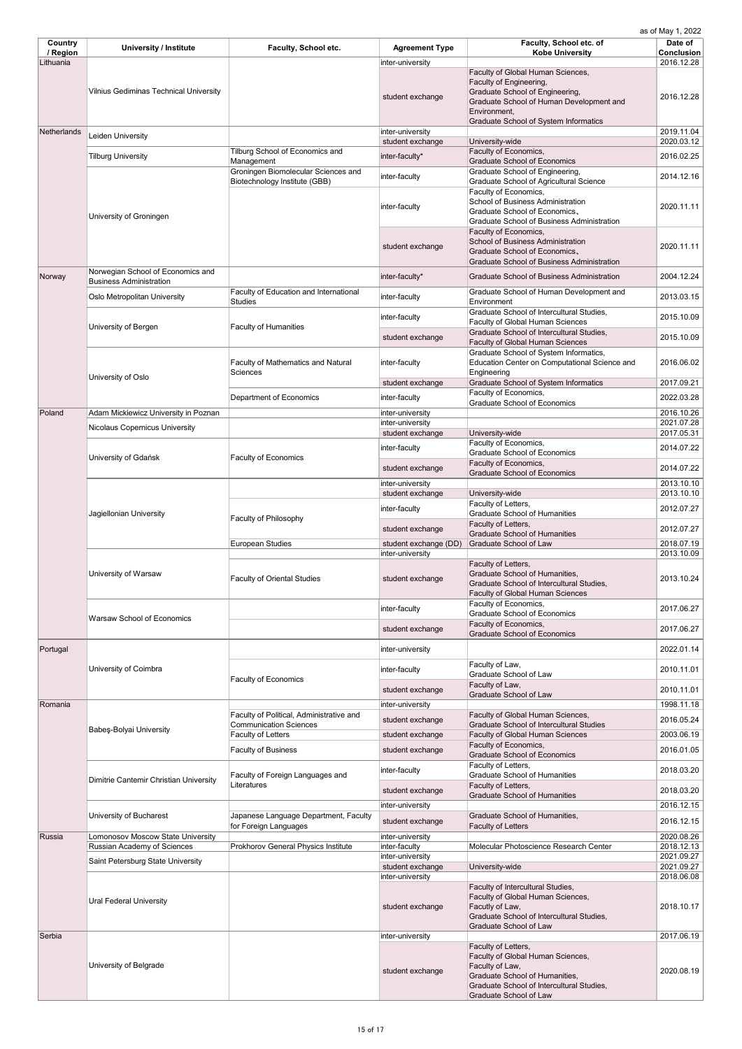| Country<br>/ Region<br>Lithuania | <b>University / Institute</b>                                           | Faculty, School etc.                                                 | <b>Agreement Type</b><br>inter-university | Faculty, School etc. of<br><b>Kobe University</b>                                                                                                                                                           | Date of<br><b>Conclusion</b><br>2016.12.28 |
|----------------------------------|-------------------------------------------------------------------------|----------------------------------------------------------------------|-------------------------------------------|-------------------------------------------------------------------------------------------------------------------------------------------------------------------------------------------------------------|--------------------------------------------|
|                                  | <b>Vilnius Gediminas Technical University</b>                           |                                                                      | student exchange                          | Faculty of Global Human Sciences,<br>Faculty of Engineering,<br>Graduate School of Engineering,<br>Graduate School of Human Development and<br>Environment,<br><b>Graduate School of System Informatics</b> | 2016.12.28                                 |
| Netherlands                      | Leiden University                                                       |                                                                      | inter-university                          |                                                                                                                                                                                                             | 2019.11.04                                 |
|                                  |                                                                         | Tilburg School of Economics and                                      | student exchange                          | University-wide<br>Faculty of Economics,                                                                                                                                                                    | 2020.03.12                                 |
|                                  | <b>Tilburg University</b>                                               | Management                                                           | inter-faculty*                            | <b>Graduate School of Economics</b>                                                                                                                                                                         | 2016.02.25                                 |
|                                  |                                                                         | Groningen Biomolecular Sciences and<br>Biotechnology Institute (GBB) | inter-faculty                             | Graduate School of Engineering,<br><b>Graduate School of Agricultural Science</b><br>Faculty of Economics,<br><b>School of Business Administration</b>                                                      | 2014.12.16                                 |
|                                  | University of Groningen                                                 |                                                                      | inter-faculty                             | Graduate School of Economics,<br><b>Graduate School of Business Administration</b><br>Faculty of Economics,<br><b>School of Business Administration</b>                                                     | 2020.11.11                                 |
|                                  |                                                                         |                                                                      | student exchange                          | Graduate School of Economics,<br><b>Graduate School of Business Administration</b>                                                                                                                          | 2020.11.11                                 |
| Norway                           | Norwegian School of Economics and<br><b>Business Administration</b>     |                                                                      | inter-faculty*                            | <b>Graduate School of Business Administration</b>                                                                                                                                                           | 2004.12.24                                 |
|                                  | Oslo Metropolitan University                                            | Faculty of Education and International                               | inter-faculty                             | Graduate School of Human Development and                                                                                                                                                                    | 2013.03.15                                 |
|                                  |                                                                         | <b>Studies</b>                                                       | inter-faculty                             | Environment<br>Graduate School of Intercultural Studies,<br><b>Faculty of Global Human Sciences</b>                                                                                                         | 2015.10.09                                 |
|                                  | University of Bergen                                                    | <b>Faculty of Humanities</b>                                         | student exchange                          | Graduate School of Intercultural Studies,<br><b>Faculty of Global Human Sciences</b>                                                                                                                        | 2015.10.09                                 |
|                                  |                                                                         | <b>Faculty of Mathematics and Natural</b><br><b>Sciences</b>         | inter-faculty                             | Graduate School of System Informatics,<br>Education Center on Computational Science and<br>Engineering                                                                                                      | 2016.06.02                                 |
|                                  | University of Oslo                                                      |                                                                      | student exchange                          | <b>Graduate School of System Informatics</b>                                                                                                                                                                | 2017.09.21                                 |
|                                  |                                                                         | Department of Economics                                              | inter-faculty                             | Faculty of Economics,<br><b>Graduate School of Economics</b>                                                                                                                                                | 2022.03.28                                 |
| Poland                           | Adam Mickiewicz University in Poznan                                    |                                                                      | inter-university                          |                                                                                                                                                                                                             | 2016.10.26                                 |
|                                  | <b>Nicolaus Copernicus University</b>                                   |                                                                      | inter-university                          |                                                                                                                                                                                                             | 2021.07.28                                 |
|                                  |                                                                         |                                                                      | student exchange                          | University-wide<br>Faculty of Economics,                                                                                                                                                                    | 2017.05.31                                 |
|                                  | University of Gdańsk                                                    | <b>Faculty of Economics</b>                                          | inter-faculty                             | <b>Graduate School of Economics</b><br>Faculty of Economics,                                                                                                                                                | 2014.07.22                                 |
|                                  |                                                                         |                                                                      | student exchange                          | <b>Graduate School of Economics</b>                                                                                                                                                                         | 2014.07.22                                 |
|                                  |                                                                         |                                                                      | inter-university                          |                                                                                                                                                                                                             | 2013.10.10                                 |
|                                  |                                                                         | <b>Faculty of Philosophy</b>                                         | student exchange                          | University-wide<br>Faculty of Letters,                                                                                                                                                                      | 2013.10.10                                 |
|                                  | Jagiellonian University                                                 |                                                                      | inter-faculty                             | <b>Graduate School of Humanities</b>                                                                                                                                                                        | 2012.07.27                                 |
|                                  |                                                                         |                                                                      | student exchange                          | Faculty of Letters,                                                                                                                                                                                         | 2012.07.27                                 |
|                                  |                                                                         | <b>European Studies</b>                                              | student exchange (DD)                     | <b>Graduate School of Humanities</b><br><b>Graduate School of Law</b>                                                                                                                                       | 2018.07.19                                 |
|                                  |                                                                         |                                                                      | inter-university                          |                                                                                                                                                                                                             | 2013.10.09                                 |
|                                  | University of Warsaw                                                    | <b>Faculty of Oriental Studies</b>                                   | student exchange                          | Faculty of Letters,<br>Graduate School of Humanities,<br>Graduate School of Intercultural Studies,<br><b>Faculty of Global Human Sciences</b>                                                               | 2013.10.24                                 |
|                                  | <b>Warsaw School of Economics</b>                                       |                                                                      | inter-faculty                             | Faculty of Economics,<br><b>Graduate School of Economics</b>                                                                                                                                                | 2017.06.27                                 |
|                                  |                                                                         |                                                                      | student exchange                          | Faculty of Economics,<br><b>Graduate School of Economics</b>                                                                                                                                                | 2017.06.27                                 |
| Portugal                         |                                                                         |                                                                      | inter-university                          |                                                                                                                                                                                                             | 2022.01.14                                 |
|                                  | University of Coimbra                                                   | <b>Faculty of Economics</b>                                          | inter-faculty                             | Faculty of Law,<br>Graduate School of Law                                                                                                                                                                   | 2010.11.01                                 |
|                                  |                                                                         |                                                                      | student exchange                          | Faculty of Law,<br><b>Graduate School of Law</b>                                                                                                                                                            | 2010.11.01                                 |
| Romania                          |                                                                         |                                                                      | inter-university                          |                                                                                                                                                                                                             | 1998.11.18                                 |
|                                  |                                                                         | Faculty of Political, Administrative and                             | student exchange                          | Faculty of Global Human Sciences,                                                                                                                                                                           | 2016.05.24                                 |
|                                  | Babeş-Bolyai University                                                 | <b>Communication Sciences</b><br><b>Faculty of Letters</b>           | student exchange                          | <b>Graduate School of Intercultural Studies</b><br><b>Faculty of Global Human Sciences</b>                                                                                                                  | 2003.06.19                                 |
|                                  |                                                                         |                                                                      |                                           | Faculty of Economics,                                                                                                                                                                                       |                                            |
|                                  |                                                                         | <b>Faculty of Business</b>                                           | student exchange                          | <b>Graduate School of Economics</b>                                                                                                                                                                         | 2016.01.05                                 |
|                                  | Dimitrie Cantemir Christian University                                  | Faculty of Foreign Languages and<br>Literatures                      | inter-faculty                             | Faculty of Letters,<br><b>Graduate School of Humanities</b><br>Faculty of Letters,                                                                                                                          | 2018.03.20                                 |
|                                  |                                                                         |                                                                      | student exchange                          | <b>Graduate School of Humanities</b>                                                                                                                                                                        | 2018.03.20                                 |
|                                  |                                                                         |                                                                      | inter-university                          |                                                                                                                                                                                                             | 2016.12.15                                 |
|                                  | <b>University of Bucharest</b>                                          | Japanese Language Department, Faculty<br>for Foreign Languages       | student exchange                          | Graduate School of Humanities,<br><b>Faculty of Letters</b>                                                                                                                                                 | 2016.12.15                                 |
| Russia                           | Lomonosov Moscow State University<br><b>Russian Academy of Sciences</b> | <b>Prokhorov General Physics Institute</b>                           | inter-university<br>inter-faculty         | Molecular Photoscience Research Center                                                                                                                                                                      | 2020.08.26<br>2018.12.13                   |
|                                  | Saint Petersburg State University                                       |                                                                      | inter-university                          |                                                                                                                                                                                                             | 2021.09.27                                 |
|                                  |                                                                         |                                                                      | student exchange<br>inter-university      | University-wide                                                                                                                                                                                             | 2021.09.27<br>2018.06.08                   |
|                                  | <b>Ural Federal University</b>                                          |                                                                      | student exchange                          | Faculty of Intercultural Studies,<br>Faculty of Global Human Sciences,<br>Facutly of Law,<br>Graduate School of Intercultural Studies,                                                                      | 2018.10.17                                 |
| Serbia                           |                                                                         |                                                                      | inter-university                          | <b>Graduate School of Law</b>                                                                                                                                                                               | 2017.06.19                                 |
|                                  |                                                                         |                                                                      |                                           | Faculty of Letters,<br>Faculty of Global Human Sciences,                                                                                                                                                    |                                            |
|                                  | University of Belgrade                                                  |                                                                      | student exchange                          | Faculty of Law,<br>Graduate School of Humanities,<br>Graduate School of Intercultural Studies,<br>Graduate School of Law                                                                                    | 2020.08.19                                 |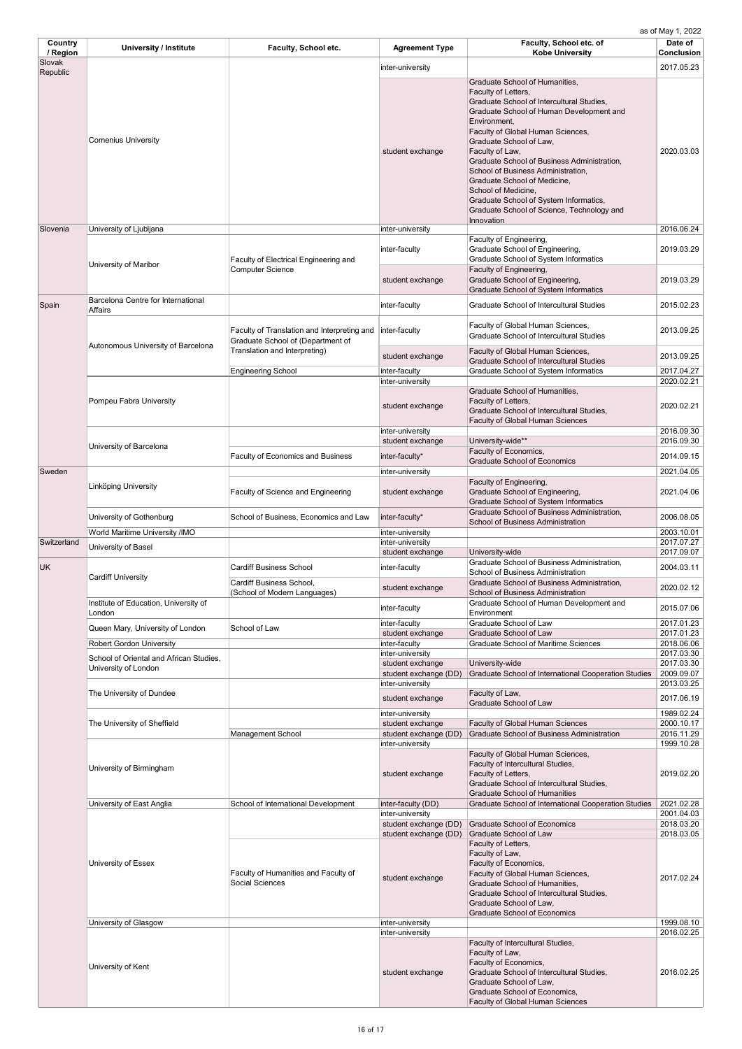| <b>Country</b><br>/ Region | <b>University / Institute</b>                   | <b>Faculty, School etc.</b>                                                      | <b>Agreement Type</b>                | Faculty, School etc. of<br><b>Kobe University</b>                                                                                                                                                                                                                                                                                                                                                                                                                                                   | Date of<br><b>Conclusion</b> |
|----------------------------|-------------------------------------------------|----------------------------------------------------------------------------------|--------------------------------------|-----------------------------------------------------------------------------------------------------------------------------------------------------------------------------------------------------------------------------------------------------------------------------------------------------------------------------------------------------------------------------------------------------------------------------------------------------------------------------------------------------|------------------------------|
| Slovak                     |                                                 |                                                                                  | inter-university                     |                                                                                                                                                                                                                                                                                                                                                                                                                                                                                                     | 2017.05.23                   |
| Republic                   | <b>Comenius University</b>                      |                                                                                  | student exchange                     | Graduate School of Humanities,<br>Faculty of Letters,<br>Graduate School of Intercultural Studies,<br>Graduate School of Human Development and<br>Environment,<br>Faculty of Global Human Sciences,<br>Graduate School of Law,<br>Faculty of Law,<br>Graduate School of Business Administration,<br>School of Business Administration,<br>Graduate School of Medicine,<br>School of Medicine,<br>Graduate School of System Informatics,<br>Graduate School of Science, Technology and<br>Innovation | 2020.03.03                   |
| Slovenia                   | University of Ljubljana                         |                                                                                  | inter-university                     |                                                                                                                                                                                                                                                                                                                                                                                                                                                                                                     | 2016.06.24                   |
|                            | University of Maribor                           | <b>Faculty of Electrical Engineering and</b><br><b>Computer Science</b>          | inter-faculty                        | Faculty of Engineering,<br>Graduate School of Engineering,<br>Graduate School of System Informatics                                                                                                                                                                                                                                                                                                                                                                                                 | 2019.03.29                   |
|                            |                                                 |                                                                                  | student exchange                     | Faculty of Engineering,<br>Graduate School of Engineering,<br><b>Graduate School of System Informatics</b>                                                                                                                                                                                                                                                                                                                                                                                          | 2019.03.29                   |
| Spain                      | Barcelona Centre for International<br>Affairs   |                                                                                  | inter-faculty                        | <b>Graduate School of Intercultural Studies</b>                                                                                                                                                                                                                                                                                                                                                                                                                                                     | 2015.02.23                   |
|                            | Autonomous University of Barcelona              | Faculty of Translation and Interpreting and<br>Graduate School of (Department of | inter-faculty                        | Faculty of Global Human Sciences,<br><b>Graduate School of Intercultural Studies</b>                                                                                                                                                                                                                                                                                                                                                                                                                | 2013.09.25                   |
|                            |                                                 | Translation and Interpreting)                                                    | student exchange                     | Faculty of Global Human Sciences,<br><b>Graduate School of Intercultural Studies</b>                                                                                                                                                                                                                                                                                                                                                                                                                | 2013.09.25                   |
|                            |                                                 | <b>Engineering School</b>                                                        | inter-faculty                        | <b>Graduate School of System Informatics</b>                                                                                                                                                                                                                                                                                                                                                                                                                                                        | 2017.04.27                   |
|                            | Pompeu Fabra University                         |                                                                                  | inter-university<br>student exchange | Graduate School of Humanities,<br>Faculty of Letters,<br>Graduate School of Intercultural Studies,<br><b>Faculty of Global Human Sciences</b>                                                                                                                                                                                                                                                                                                                                                       | 2020.02.21<br>2020.02.21     |
|                            |                                                 |                                                                                  | inter-university                     |                                                                                                                                                                                                                                                                                                                                                                                                                                                                                                     | 2016.09.30                   |
|                            | University of Barcelona                         |                                                                                  | student exchange                     | University-wide**<br>Faculty of Economics,                                                                                                                                                                                                                                                                                                                                                                                                                                                          | 2016.09.30                   |
|                            |                                                 | <b>Faculty of Economics and Business</b>                                         | inter-faculty*                       | <b>Graduate School of Economics</b>                                                                                                                                                                                                                                                                                                                                                                                                                                                                 | 2014.09.15                   |
| Sweden                     |                                                 |                                                                                  | inter-university                     |                                                                                                                                                                                                                                                                                                                                                                                                                                                                                                     | 2021.04.05                   |
|                            | Linköping University                            | <b>Faculty of Science and Engineering</b>                                        | student exchange                     | Faculty of Engineering,<br>Graduate School of Engineering,<br><b>Graduate School of System Informatics</b>                                                                                                                                                                                                                                                                                                                                                                                          | 2021.04.06                   |
|                            | University of Gothenburg                        | School of Business, Economics and Law                                            | inter-faculty*                       | <b>Graduate School of Business Administration,</b><br><b>School of Business Administration</b>                                                                                                                                                                                                                                                                                                                                                                                                      | 2006.08.05                   |
|                            | World Maritime University /IMO                  |                                                                                  | inter-university                     |                                                                                                                                                                                                                                                                                                                                                                                                                                                                                                     | 2003.10.01                   |
| Switzerland                | University of Basel                             |                                                                                  | inter-university<br>student exchange | University-wide                                                                                                                                                                                                                                                                                                                                                                                                                                                                                     | 2017.07.27<br>2017.09.07     |
| <b>UK</b>                  |                                                 | <b>Cardiff Business School</b>                                                   | inter-faculty                        | Graduate School of Business Administration,<br><b>School of Business Administration</b>                                                                                                                                                                                                                                                                                                                                                                                                             | 2004.03.11                   |
|                            | <b>Cardiff University</b>                       | <b>Cardiff Business School,</b><br>(School of Modern Languages)                  | student exchange                     | Graduate School of Business Administration,<br><b>School of Business Administration</b>                                                                                                                                                                                                                                                                                                                                                                                                             | 2020.02.12                   |
|                            | Institute of Education, University of<br>London |                                                                                  | inter-faculty                        | Graduate School of Human Development and<br>Environment                                                                                                                                                                                                                                                                                                                                                                                                                                             | 2015.07.06                   |
|                            | Queen Mary, University of London                | School of Law                                                                    | inter-faculty                        | <b>Graduate School of Law</b>                                                                                                                                                                                                                                                                                                                                                                                                                                                                       | 2017.01.23                   |
|                            |                                                 |                                                                                  | student exchange                     | <b>Graduate School of Law</b>                                                                                                                                                                                                                                                                                                                                                                                                                                                                       | 2017.01.23                   |

| <b>Robert Gordon University</b>         |                                                                | inter-faculty         | <b>Graduate School of Maritime Sciences</b>                                                                                                                                                                                                                  | 2018.06.06 |
|-----------------------------------------|----------------------------------------------------------------|-----------------------|--------------------------------------------------------------------------------------------------------------------------------------------------------------------------------------------------------------------------------------------------------------|------------|
| School of Oriental and African Studies, |                                                                | inter-university      |                                                                                                                                                                                                                                                              | 2017.03.30 |
| University of London                    |                                                                | student exchange      | University-wide                                                                                                                                                                                                                                              | 2017.03.30 |
|                                         |                                                                | student exchange (DD) | Graduate School of International Cooperation Studies                                                                                                                                                                                                         | 2009.09.07 |
|                                         |                                                                | inter-university      |                                                                                                                                                                                                                                                              | 2013.03.25 |
| The University of Dundee                |                                                                | student exchange      | Faculty of Law,<br><b>Graduate School of Law</b>                                                                                                                                                                                                             | 2017.06.19 |
|                                         |                                                                | inter-university      |                                                                                                                                                                                                                                                              | 1989.02.24 |
| The University of Sheffield             |                                                                | student exchange      | <b>Faculty of Global Human Sciences</b>                                                                                                                                                                                                                      | 2000.10.17 |
|                                         | <b>Management School</b>                                       | student exchange (DD) | <b>Graduate School of Business Administration</b>                                                                                                                                                                                                            | 2016.11.29 |
|                                         |                                                                | inter-university      |                                                                                                                                                                                                                                                              | 1999.10.28 |
| University of Birmingham                |                                                                | student exchange      | Faculty of Global Human Sciences,<br>Faculty of Intercultural Studies,<br>Faculty of Letters,<br>Graduate School of Intercultural Studies,<br><b>Graduate School of Humanities</b>                                                                           | 2019.02.20 |
| University of East Anglia               | School of International Development                            | inter-faculty (DD)    | Graduate School of International Cooperation Studies                                                                                                                                                                                                         | 2021.02.28 |
|                                         |                                                                | inter-university      |                                                                                                                                                                                                                                                              | 2001.04.03 |
|                                         |                                                                | student exchange (DD) | <b>Graduate School of Economics</b>                                                                                                                                                                                                                          | 2018.03.20 |
|                                         |                                                                | student exchange (DD) | <b>Graduate School of Law</b>                                                                                                                                                                                                                                | 2018.03.05 |
| <b>University of Essex</b>              | Faculty of Humanities and Faculty of<br><b>Social Sciences</b> | student exchange      | Faculty of Letters,<br>Faculty of Law,<br>Faculty of Economics,<br>Faculty of Global Human Sciences,<br><b>Graduate School of Humanities,</b><br>Graduate School of Intercultural Studies,<br>Graduate School of Law,<br><b>Graduate School of Economics</b> | 2017.02.24 |
| University of Glasgow                   |                                                                | inter-university      |                                                                                                                                                                                                                                                              | 1999.08.10 |
|                                         |                                                                | inter-university      |                                                                                                                                                                                                                                                              | 2016.02.25 |
| University of Kent                      |                                                                | student exchange      | Faculty of Intercultural Studies,<br>Faculty of Law,<br>Faculty of Economics,<br>Graduate School of Intercultural Studies,<br>Graduate School of Law,<br>Graduate School of Economics,<br><b>Faculty of Global Human Sciences</b>                            | 2016.02.25 |